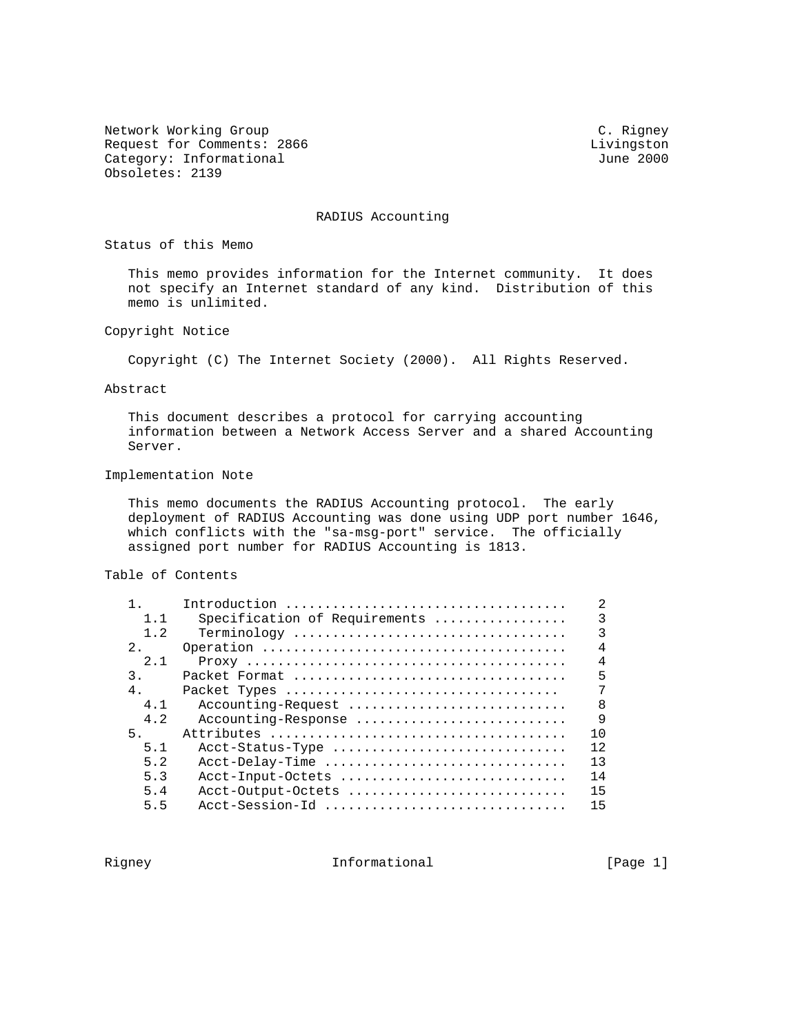Network Working Group C. Rigney Request for Comments: 2866 Livingston Category: Informational Activity Category: Informational Activity Category: University Category: University Category: University Category: University Category: University Category: Uni Category: Informational Obsoletes: 2139

RADIUS Accounting

Status of this Memo

 This memo provides information for the Internet community. It does not specify an Internet standard of any kind. Distribution of this memo is unlimited.

Copyright Notice

Copyright (C) The Internet Society (2000). All Rights Reserved.

Abstract

 This document describes a protocol for carrying accounting information between a Network Access Server and a shared Accounting Server.

Implementation Note

 This memo documents the RADIUS Accounting protocol. The early deployment of RADIUS Accounting was done using UDP port number 1646, which conflicts with the "sa-msg-port" service. The officially assigned port number for RADIUS Accounting is 1813.

Table of Contents

|                |                               | $\mathfrak{D}$ |
|----------------|-------------------------------|----------------|
| $1 \quad 1$    | Specification of Requirements | 3              |
| 1.2            | Terminology                   | 3              |
| 2.             |                               | $\overline{4}$ |
| 2.1            |                               | $\overline{4}$ |
| 3.             |                               | 5              |
| 4 <sub>1</sub> |                               | 7              |
| 4.1            | Accounting-Request            | 8              |
| 4.2            | Accounting-Response           | $\mathsf{Q}$   |
| 5 <sub>1</sub> |                               | 10             |
| 5.1            | Acct-Status-Type              | 12             |
| 5.2            | Acct-Delay-Time               | 13             |
| 5.3            | Acct-Input-Octets             | 14             |
| 5.4            | Acct-Output-Octets            | 15             |
| 5.5            | Acct-Session-Id               | 15             |
|                |                               |                |

Rigney **Informational Informational** [Page 1]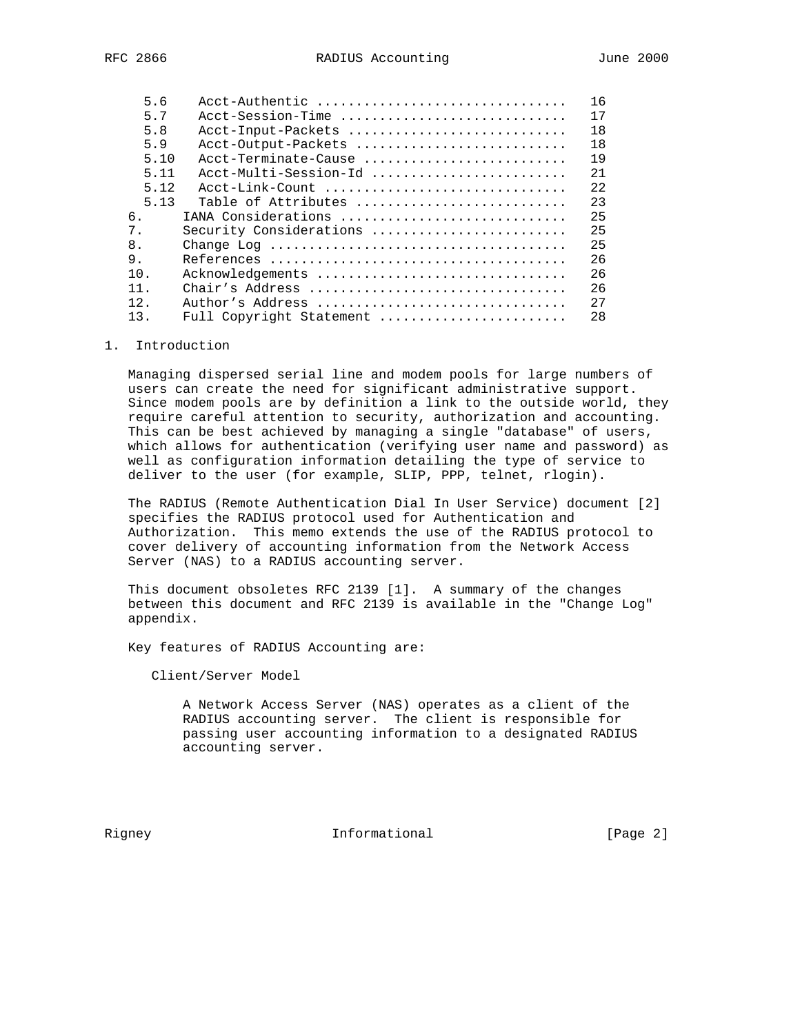| 5.6  |                          | 16  |
|------|--------------------------|-----|
| 5.7  | Acct-Session-Time        | 17  |
| 5.8  | Acct-Input-Packets       | 18  |
| 5.9  | Acct-Output-Packets      | 18  |
| 5.10 | Acct-Terminate-Cause     | 19  |
| 5.11 | Acct-Multi-Session-Id    | 2.1 |
| 5.12 | Acct-Link-Count          | 22  |
| 5.13 | Table of Attributes      | 23  |
| б.   | IANA Considerations      | 25  |
| 7.   | Security Considerations  | 25  |
| 8.   |                          | 25  |
| 9.   |                          | 26  |
| 10.  | Acknowledgements         | 2.6 |
| 11.  | Chair's Address          | 26  |
| 12.  | Author's Address         | 27  |
| 13.  | Full Copyright Statement | 28  |
|      |                          |     |

## 1. Introduction

 Managing dispersed serial line and modem pools for large numbers of users can create the need for significant administrative support. Since modem pools are by definition a link to the outside world, they require careful attention to security, authorization and accounting. This can be best achieved by managing a single "database" of users, which allows for authentication (verifying user name and password) as well as configuration information detailing the type of service to deliver to the user (for example, SLIP, PPP, telnet, rlogin).

 The RADIUS (Remote Authentication Dial In User Service) document [2] specifies the RADIUS protocol used for Authentication and Authorization. This memo extends the use of the RADIUS protocol to cover delivery of accounting information from the Network Access Server (NAS) to a RADIUS accounting server.

 This document obsoletes RFC 2139 [1]. A summary of the changes between this document and RFC 2139 is available in the "Change Log" appendix.

Key features of RADIUS Accounting are:

Client/Server Model

 A Network Access Server (NAS) operates as a client of the RADIUS accounting server. The client is responsible for passing user accounting information to a designated RADIUS accounting server.

Rigney **Informational Informational** [Page 2]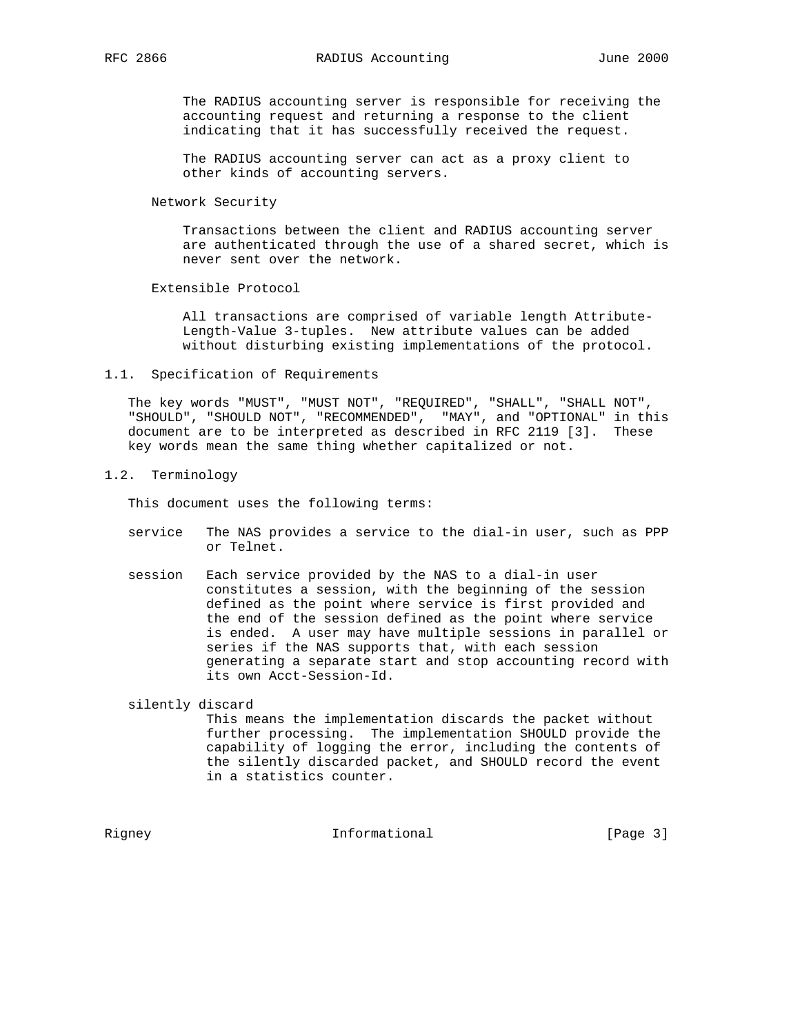The RADIUS accounting server is responsible for receiving the accounting request and returning a response to the client indicating that it has successfully received the request.

 The RADIUS accounting server can act as a proxy client to other kinds of accounting servers.

Network Security

 Transactions between the client and RADIUS accounting server are authenticated through the use of a shared secret, which is never sent over the network.

Extensible Protocol

 All transactions are comprised of variable length Attribute- Length-Value 3-tuples. New attribute values can be added without disturbing existing implementations of the protocol.

1.1. Specification of Requirements

 The key words "MUST", "MUST NOT", "REQUIRED", "SHALL", "SHALL NOT", "SHOULD", "SHOULD NOT", "RECOMMENDED", "MAY", and "OPTIONAL" in this document are to be interpreted as described in RFC 2119 [3]. These key words mean the same thing whether capitalized or not.

1.2. Terminology

This document uses the following terms:

- service The NAS provides a service to the dial-in user, such as PPP or Telnet.
- session Each service provided by the NAS to a dial-in user constitutes a session, with the beginning of the session defined as the point where service is first provided and the end of the session defined as the point where service is ended. A user may have multiple sessions in parallel or series if the NAS supports that, with each session generating a separate start and stop accounting record with its own Acct-Session-Id.

silently discard

 This means the implementation discards the packet without further processing. The implementation SHOULD provide the capability of logging the error, including the contents of the silently discarded packet, and SHOULD record the event in a statistics counter.

Rigney **Informational Informational** [Page 3]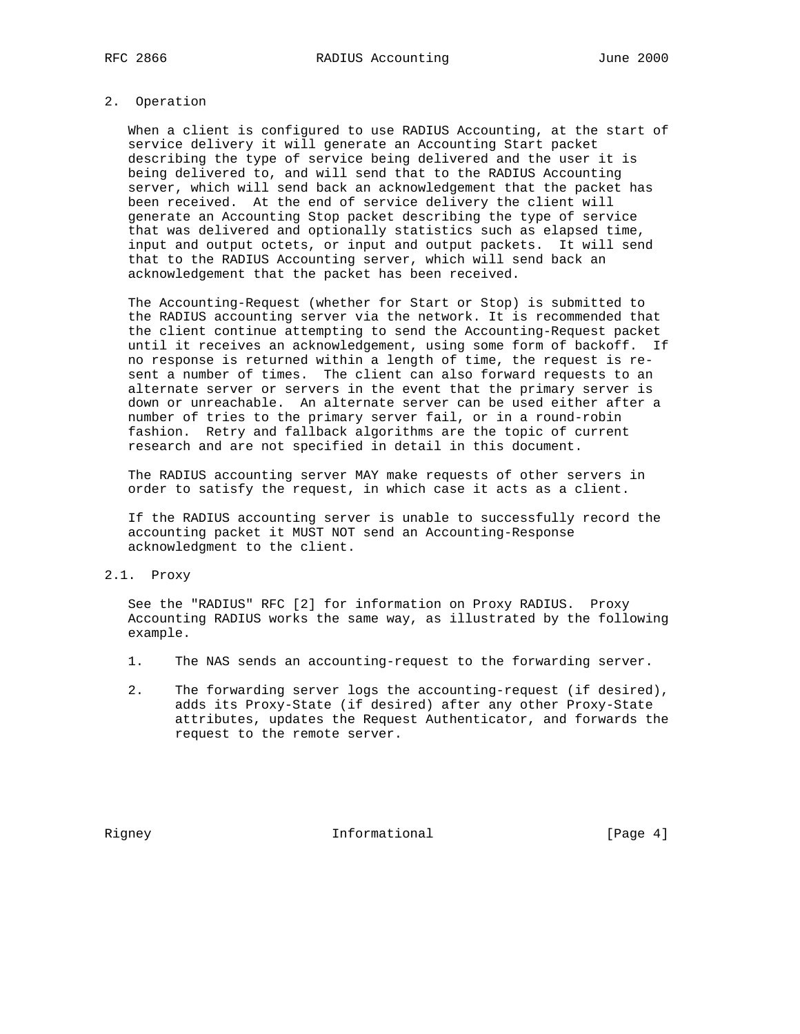# 2. Operation

 When a client is configured to use RADIUS Accounting, at the start of service delivery it will generate an Accounting Start packet describing the type of service being delivered and the user it is being delivered to, and will send that to the RADIUS Accounting server, which will send back an acknowledgement that the packet has been received. At the end of service delivery the client will generate an Accounting Stop packet describing the type of service that was delivered and optionally statistics such as elapsed time, input and output octets, or input and output packets. It will send that to the RADIUS Accounting server, which will send back an acknowledgement that the packet has been received.

 The Accounting-Request (whether for Start or Stop) is submitted to the RADIUS accounting server via the network. It is recommended that the client continue attempting to send the Accounting-Request packet until it receives an acknowledgement, using some form of backoff. If no response is returned within a length of time, the request is re sent a number of times. The client can also forward requests to an alternate server or servers in the event that the primary server is down or unreachable. An alternate server can be used either after a number of tries to the primary server fail, or in a round-robin fashion. Retry and fallback algorithms are the topic of current research and are not specified in detail in this document.

 The RADIUS accounting server MAY make requests of other servers in order to satisfy the request, in which case it acts as a client.

 If the RADIUS accounting server is unable to successfully record the accounting packet it MUST NOT send an Accounting-Response acknowledgment to the client.

## 2.1. Proxy

 See the "RADIUS" RFC [2] for information on Proxy RADIUS. Proxy Accounting RADIUS works the same way, as illustrated by the following example.

- 1. The NAS sends an accounting-request to the forwarding server.
- 2. The forwarding server logs the accounting-request (if desired), adds its Proxy-State (if desired) after any other Proxy-State attributes, updates the Request Authenticator, and forwards the request to the remote server.

Rigney **Informational** [Page 4]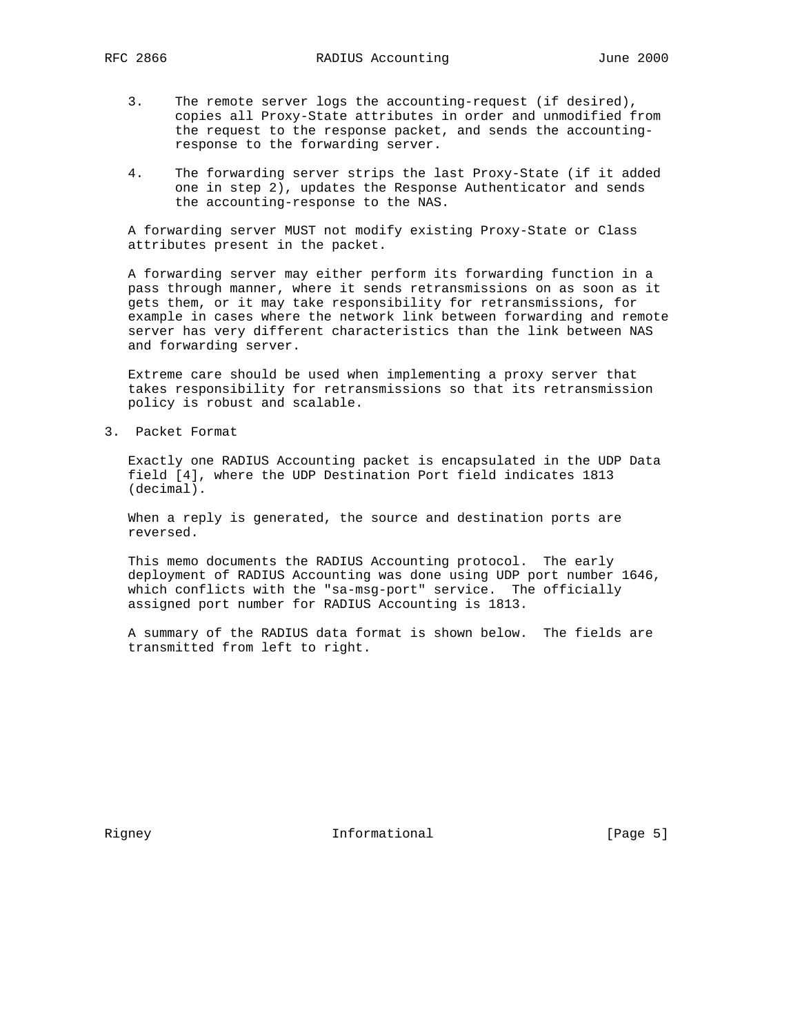- 3. The remote server logs the accounting-request (if desired), copies all Proxy-State attributes in order and unmodified from the request to the response packet, and sends the accounting response to the forwarding server.
- 4. The forwarding server strips the last Proxy-State (if it added one in step 2), updates the Response Authenticator and sends the accounting-response to the NAS.

 A forwarding server MUST not modify existing Proxy-State or Class attributes present in the packet.

 A forwarding server may either perform its forwarding function in a pass through manner, where it sends retransmissions on as soon as it gets them, or it may take responsibility for retransmissions, for example in cases where the network link between forwarding and remote server has very different characteristics than the link between NAS and forwarding server.

 Extreme care should be used when implementing a proxy server that takes responsibility for retransmissions so that its retransmission policy is robust and scalable.

3. Packet Format

 Exactly one RADIUS Accounting packet is encapsulated in the UDP Data field [4], where the UDP Destination Port field indicates 1813 (decimal).

 When a reply is generated, the source and destination ports are reversed.

 This memo documents the RADIUS Accounting protocol. The early deployment of RADIUS Accounting was done using UDP port number 1646, which conflicts with the "sa-msg-port" service. The officially assigned port number for RADIUS Accounting is 1813.

 A summary of the RADIUS data format is shown below. The fields are transmitted from left to right.

Rigney **Informational Informational** [Page 5]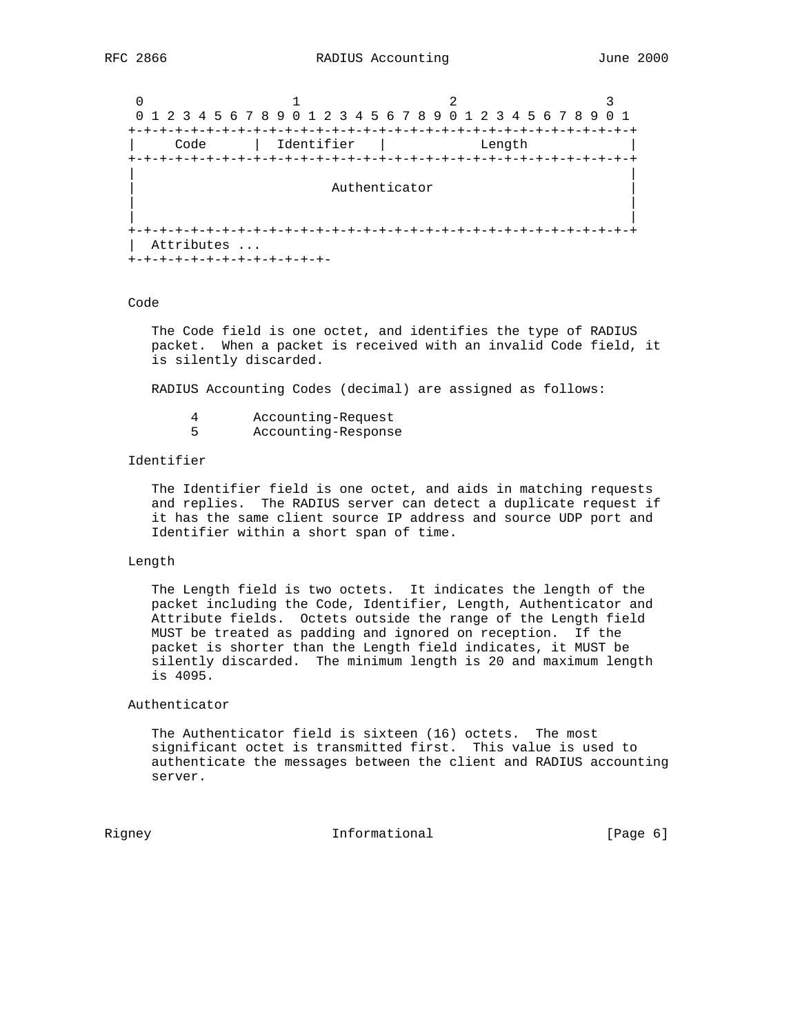|                            | 0 1 2 3 4 5 6 7 8 9 0 1 2 3 4 5 6 7 8 9 0 1 2 3 4 5 6 7 8 9 0 1 |               |        |
|----------------------------|-----------------------------------------------------------------|---------------|--------|
|                            |                                                                 |               |        |
| Code                       | Identifier                                                      |               | Length |
|                            |                                                                 |               |        |
|                            |                                                                 |               |        |
|                            |                                                                 | Authenticator |        |
|                            |                                                                 |               |        |
|                            |                                                                 |               |        |
| +-+-+-+-+-+-+              |                                                                 |               |        |
| Attributes                 |                                                                 |               |        |
| +-+-+-+-+-+-+-+-+-+-+-+-+- |                                                                 |               |        |

## Code

 The Code field is one octet, and identifies the type of RADIUS packet. When a packet is received with an invalid Code field, it is silently discarded.

RADIUS Accounting Codes (decimal) are assigned as follows:

- 4 Accounting-Request
- 5 Accounting-Response

## Identifier

 The Identifier field is one octet, and aids in matching requests and replies. The RADIUS server can detect a duplicate request if it has the same client source IP address and source UDP port and Identifier within a short span of time.

## Length

 The Length field is two octets. It indicates the length of the packet including the Code, Identifier, Length, Authenticator and Attribute fields. Octets outside the range of the Length field MUST be treated as padding and ignored on reception. If the packet is shorter than the Length field indicates, it MUST be silently discarded. The minimum length is 20 and maximum length is 4095.

## Authenticator

 The Authenticator field is sixteen (16) octets. The most significant octet is transmitted first. This value is used to authenticate the messages between the client and RADIUS accounting server.

Rigney **Informational** [Page 6]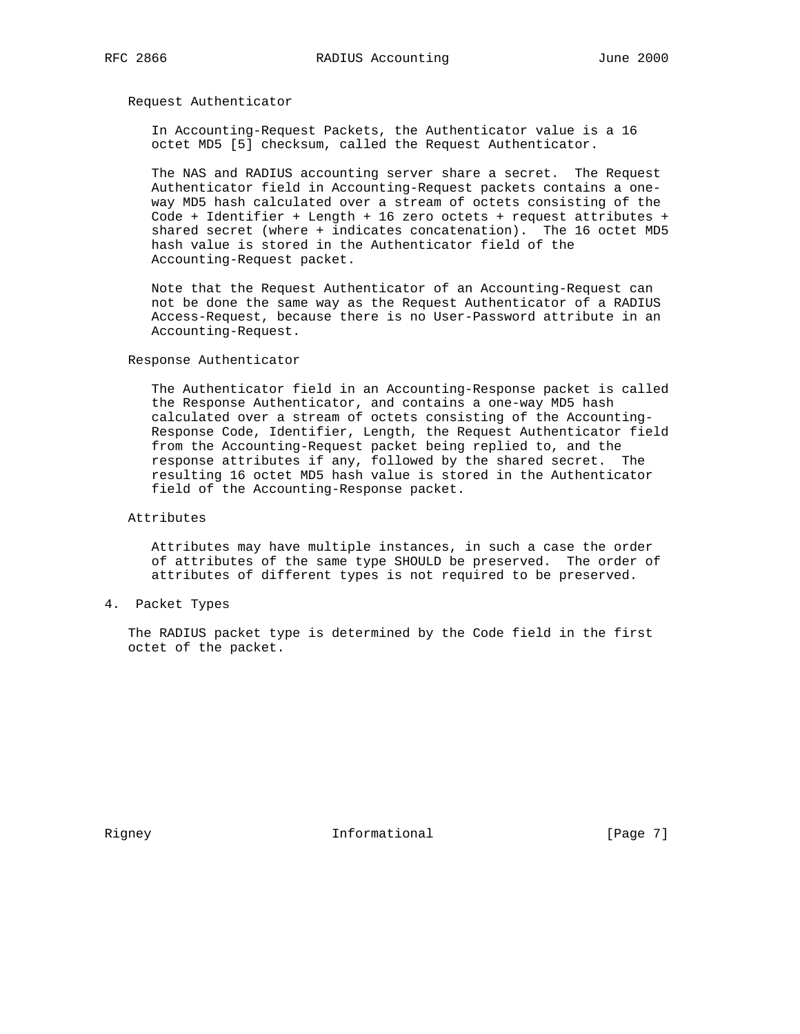### Request Authenticator

 In Accounting-Request Packets, the Authenticator value is a 16 octet MD5 [5] checksum, called the Request Authenticator.

 The NAS and RADIUS accounting server share a secret. The Request Authenticator field in Accounting-Request packets contains a one way MD5 hash calculated over a stream of octets consisting of the Code + Identifier + Length + 16 zero octets + request attributes + shared secret (where + indicates concatenation). The 16 octet MD5 hash value is stored in the Authenticator field of the Accounting-Request packet.

 Note that the Request Authenticator of an Accounting-Request can not be done the same way as the Request Authenticator of a RADIUS Access-Request, because there is no User-Password attribute in an Accounting-Request.

#### Response Authenticator

 The Authenticator field in an Accounting-Response packet is called the Response Authenticator, and contains a one-way MD5 hash calculated over a stream of octets consisting of the Accounting- Response Code, Identifier, Length, the Request Authenticator field from the Accounting-Request packet being replied to, and the response attributes if any, followed by the shared secret. The resulting 16 octet MD5 hash value is stored in the Authenticator field of the Accounting-Response packet.

## Attributes

 Attributes may have multiple instances, in such a case the order of attributes of the same type SHOULD be preserved. The order of attributes of different types is not required to be preserved.

4. Packet Types

 The RADIUS packet type is determined by the Code field in the first octet of the packet.

Rigney **Informational** [Page 7]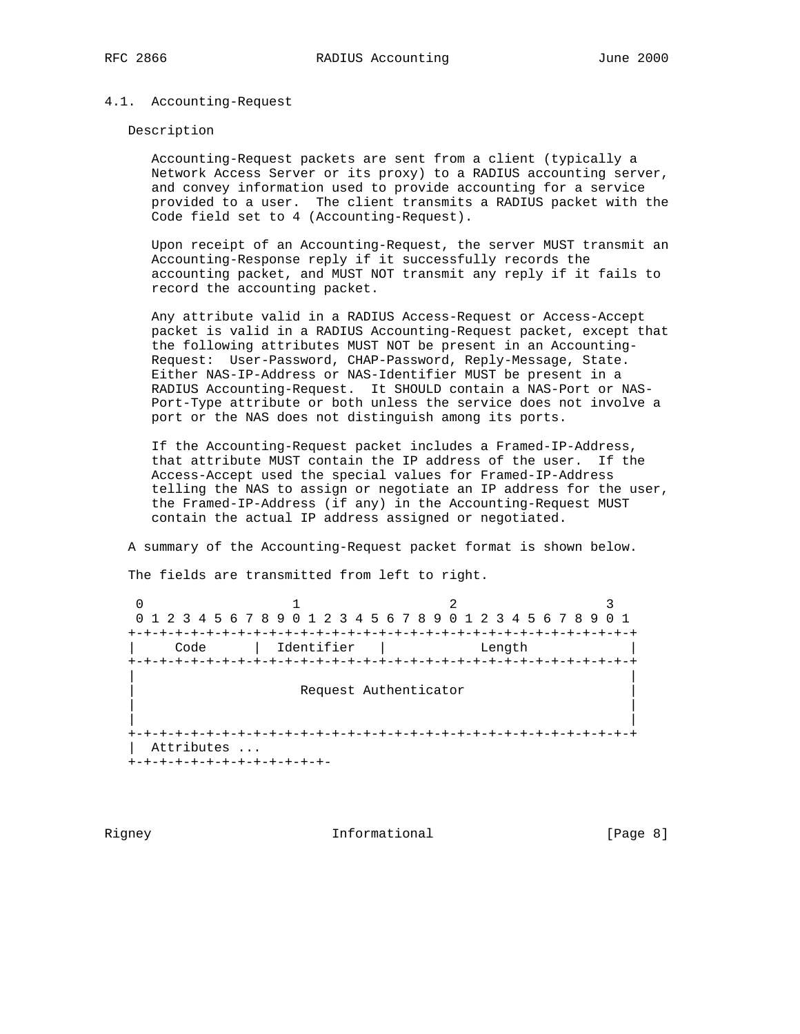## 4.1. Accounting-Request

#### Description

 Accounting-Request packets are sent from a client (typically a Network Access Server or its proxy) to a RADIUS accounting server, and convey information used to provide accounting for a service provided to a user. The client transmits a RADIUS packet with the Code field set to 4 (Accounting-Request).

 Upon receipt of an Accounting-Request, the server MUST transmit an Accounting-Response reply if it successfully records the accounting packet, and MUST NOT transmit any reply if it fails to record the accounting packet.

 Any attribute valid in a RADIUS Access-Request or Access-Accept packet is valid in a RADIUS Accounting-Request packet, except that the following attributes MUST NOT be present in an Accounting- Request: User-Password, CHAP-Password, Reply-Message, State. Either NAS-IP-Address or NAS-Identifier MUST be present in a RADIUS Accounting-Request. It SHOULD contain a NAS-Port or NAS- Port-Type attribute or both unless the service does not involve a port or the NAS does not distinguish among its ports.

 If the Accounting-Request packet includes a Framed-IP-Address, that attribute MUST contain the IP address of the user. If the Access-Accept used the special values for Framed-IP-Address telling the NAS to assign or negotiate an IP address for the user, the Framed-IP-Address (if any) in the Accounting-Request MUST contain the actual IP address assigned or negotiated.

A summary of the Accounting-Request packet format is shown below.

The fields are transmitted from left to right.

|                         | 0 1 2 3 4 5 6 7 8 9 0 1 2 3 4 5 6 7 8 9 0 1 2 3 4 5 6 7 8 9 |                       |                 |
|-------------------------|-------------------------------------------------------------|-----------------------|-----------------|
| $+ - + - + - + - + - +$ |                                                             |                       |                 |
| Code                    | Identifier                                                  |                       | Length          |
|                         |                                                             |                       |                 |
|                         |                                                             |                       |                 |
|                         |                                                             | Request Authenticator |                 |
|                         |                                                             |                       |                 |
|                         |                                                             |                       |                 |
|                         |                                                             |                       | -+-+-+-+-+-+-+- |
| Attributes              |                                                             |                       |                 |
|                         | +-+-+-+-+-+-+-+-+-+-+-+-+-                                  |                       |                 |

Rigney 10 1nformational [Page 8]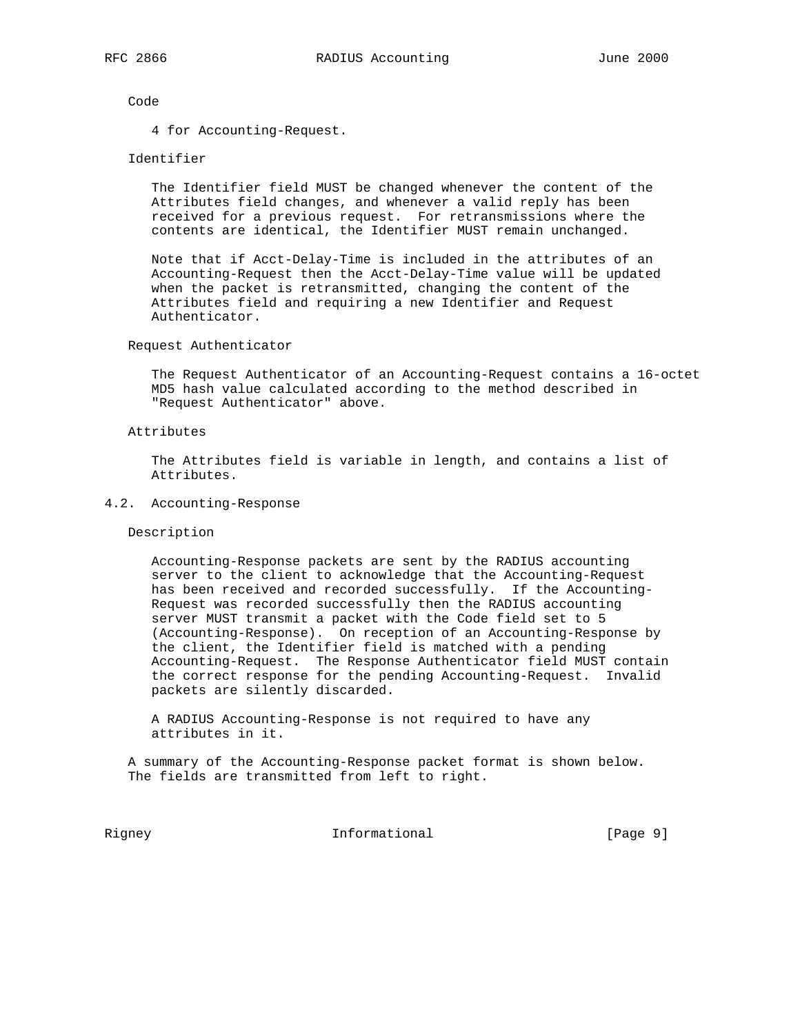### Code

4 for Accounting-Request.

## Identifier

 The Identifier field MUST be changed whenever the content of the Attributes field changes, and whenever a valid reply has been received for a previous request. For retransmissions where the contents are identical, the Identifier MUST remain unchanged.

 Note that if Acct-Delay-Time is included in the attributes of an Accounting-Request then the Acct-Delay-Time value will be updated when the packet is retransmitted, changing the content of the Attributes field and requiring a new Identifier and Request Authenticator.

#### Request Authenticator

 The Request Authenticator of an Accounting-Request contains a 16-octet MD5 hash value calculated according to the method described in "Request Authenticator" above.

### Attributes

 The Attributes field is variable in length, and contains a list of Attributes.

## 4.2. Accounting-Response

#### Description

 Accounting-Response packets are sent by the RADIUS accounting server to the client to acknowledge that the Accounting-Request has been received and recorded successfully. If the Accounting- Request was recorded successfully then the RADIUS accounting server MUST transmit a packet with the Code field set to 5 (Accounting-Response). On reception of an Accounting-Response by the client, the Identifier field is matched with a pending Accounting-Request. The Response Authenticator field MUST contain the correct response for the pending Accounting-Request. Invalid packets are silently discarded.

 A RADIUS Accounting-Response is not required to have any attributes in it.

 A summary of the Accounting-Response packet format is shown below. The fields are transmitted from left to right.

Rigney 10 Communicational Rigney (Page 9)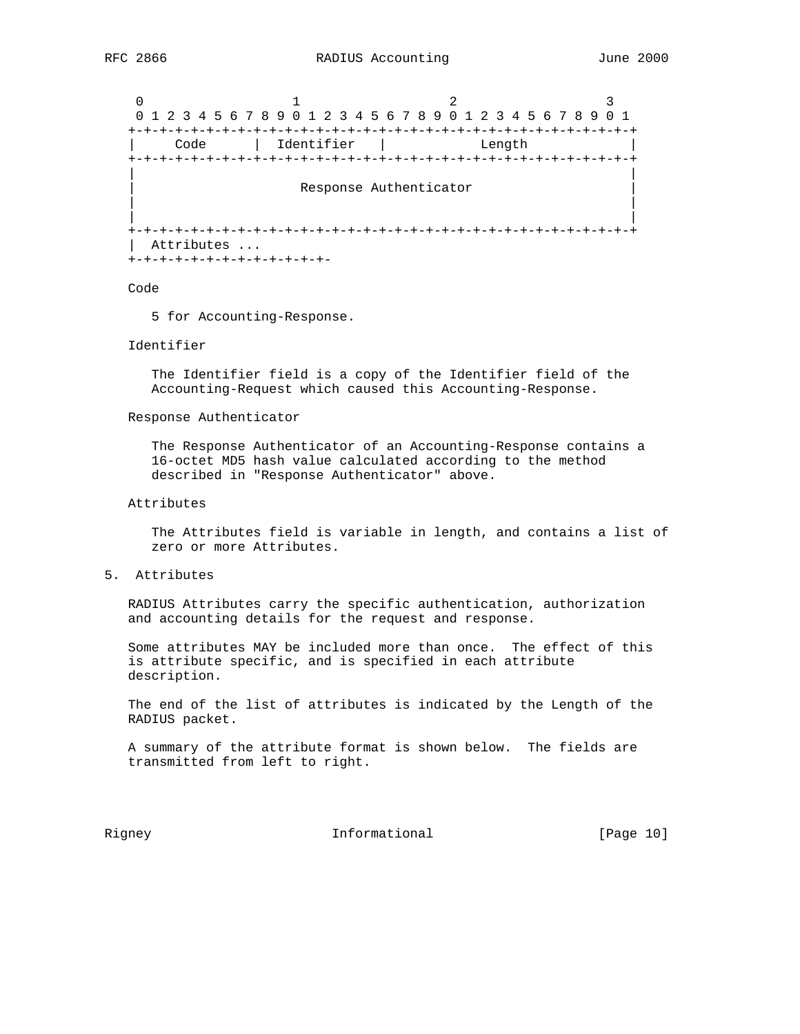```
0 1 2 3
 0 1 2 3 4 5 6 7 8 9 0 1 2 3 4 5 6 7 8 9 0 1 2 3 4 5 6 7 8 9 0 1
 +-+-+-+-+-+-+-+-+-+-+-+-+-+-+-+-+-+-+-+-+-+-+-+-+-+-+-+-+-+-+-+-+
 | Code | Identifier | Length |
 +-+-+-+-+-+-+-+-+-+-+-+-+-+-+-+-+-+-+-+-+-+-+-+-+-+-+-+-+-+-+-+-+
| |
             Response Authenticator
| |
| |
 +-+-+-+-+-+-+-+-+-+-+-+-+-+-+-+-+-+-+-+-+-+-+-+-+-+-+-+-+-+-+-+-+
  | Attributes ...
 +-+-+-+-+-+-+-+-+-+-+-+-+-
```
#### Code

5 for Accounting-Response.

#### Identifier

 The Identifier field is a copy of the Identifier field of the Accounting-Request which caused this Accounting-Response.

#### Response Authenticator

 The Response Authenticator of an Accounting-Response contains a 16-octet MD5 hash value calculated according to the method described in "Response Authenticator" above.

### Attributes

 The Attributes field is variable in length, and contains a list of zero or more Attributes.

#### 5. Attributes

 RADIUS Attributes carry the specific authentication, authorization and accounting details for the request and response.

 Some attributes MAY be included more than once. The effect of this is attribute specific, and is specified in each attribute description.

 The end of the list of attributes is indicated by the Length of the RADIUS packet.

 A summary of the attribute format is shown below. The fields are transmitted from left to right.

Rigney 10 1nformational [Page 10]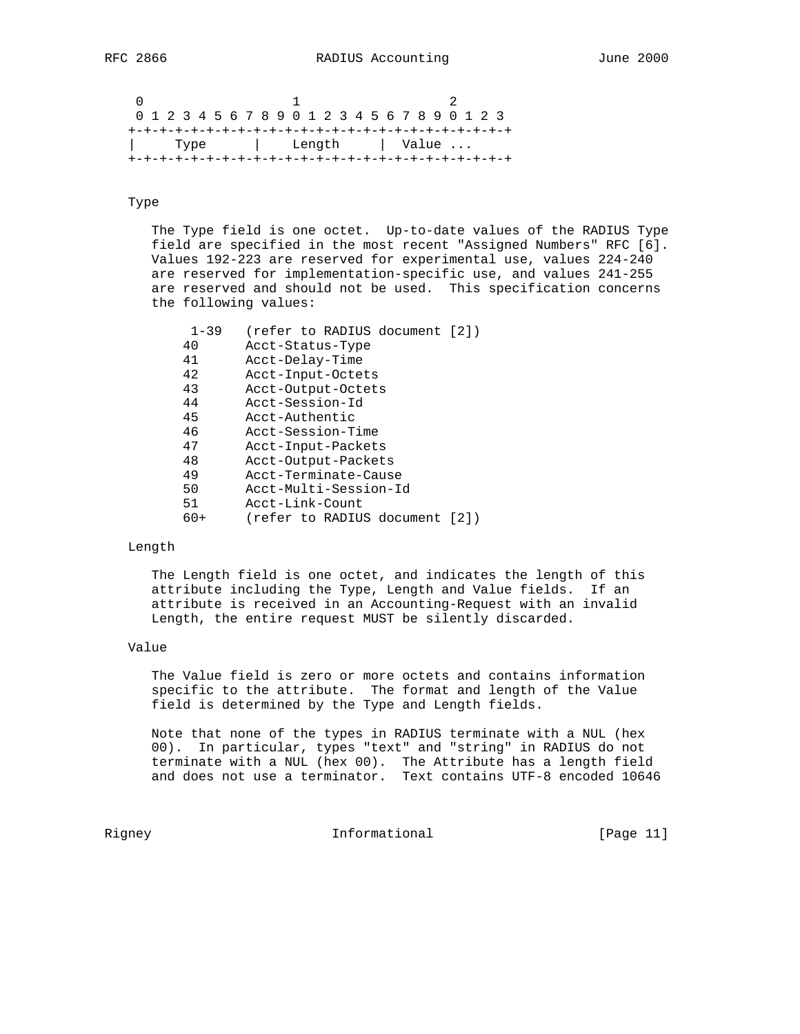$0$  1 2 0 1 2 3 4 5 6 7 8 9 0 1 2 3 4 5 6 7 8 9 0 1 2 3 +-+-+-+-+-+-+-+-+-+-+-+-+-+-+-+-+-+-+-+-+-+-+-+-+ | Type | Length | Value ... +-+-+-+-+-+-+-+-+-+-+-+-+-+-+-+-+-+-+-+-+-+-+-+-+

#### Type

 The Type field is one octet. Up-to-date values of the RADIUS Type field are specified in the most recent "Assigned Numbers" RFC [6]. Values 192-223 are reserved for experimental use, values 224-240 are reserved for implementation-specific use, and values 241-255 are reserved and should not be used. This specification concerns the following values:

| $1 - 39$ | (refer to RADIUS document [2]) |
|----------|--------------------------------|
| 40       | Acct-Status-Type               |
| 41       | Acct-Delay-Time                |
| 42       | Acct-Input-Octets              |
| 43       | Acct-Output-Octets             |
| 44       | Acct-Session-Id                |
| 45       | Acct-Authentic                 |
| 46       | Acct-Session-Time              |
| 47       | Acct-Input-Packets             |
| 48       | Acct-Output-Packets            |
| 49       | Acct-Terminate-Cause           |
| 50       | Acct-Multi-Session-Id          |
| 51       | Acct-Link-Count                |
| 60+      | (refer to RADIUS document [2]) |

## Length

 The Length field is one octet, and indicates the length of this attribute including the Type, Length and Value fields. If an attribute is received in an Accounting-Request with an invalid Length, the entire request MUST be silently discarded.

#### Value

 The Value field is zero or more octets and contains information specific to the attribute. The format and length of the Value field is determined by the Type and Length fields.

 Note that none of the types in RADIUS terminate with a NUL (hex 00). In particular, types "text" and "string" in RADIUS do not terminate with a NUL (hex 00). The Attribute has a length field and does not use a terminator. Text contains UTF-8 encoded 10646

Rigney 11 Informational [Page 11]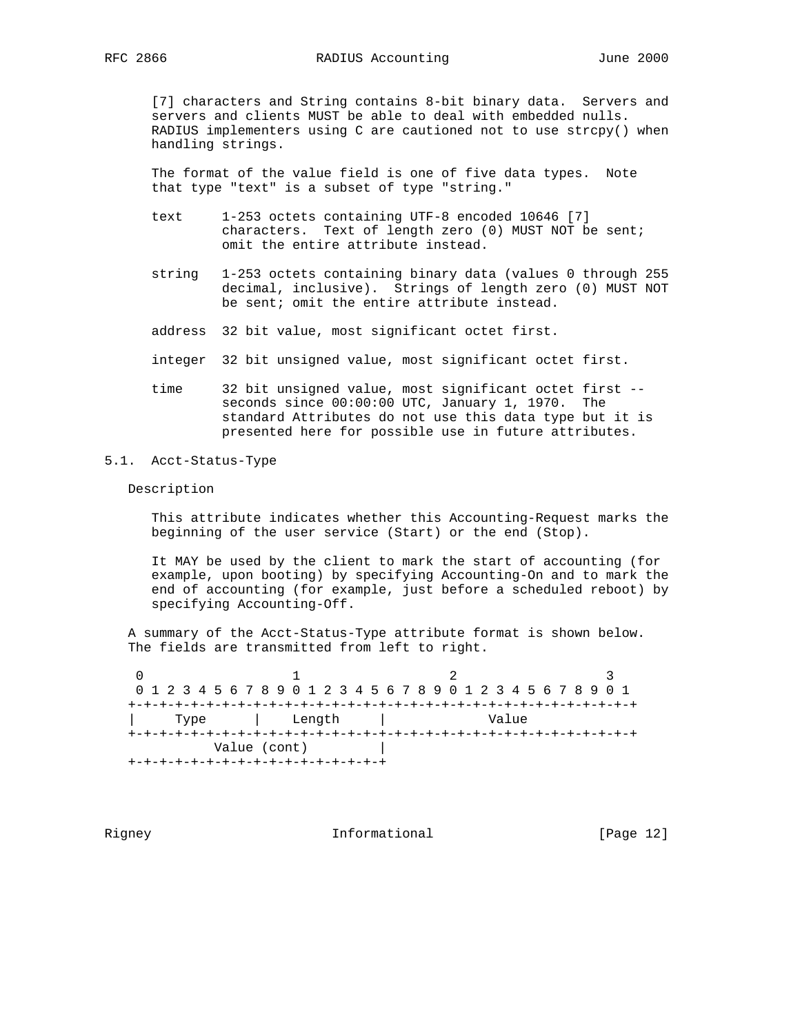[7] characters and String contains 8-bit binary data. Servers and servers and clients MUST be able to deal with embedded nulls. RADIUS implementers using C are cautioned not to use strcpy() when handling strings.

 The format of the value field is one of five data types. Note that type "text" is a subset of type "string."

- text 1-253 octets containing UTF-8 encoded 10646 [7] characters. Text of length zero (0) MUST NOT be sent; omit the entire attribute instead.
- string 1-253 octets containing binary data (values 0 through 255 decimal, inclusive). Strings of length zero (0) MUST NOT be sent; omit the entire attribute instead.
- address 32 bit value, most significant octet first.
- integer 32 bit unsigned value, most significant octet first.
- time 32 bit unsigned value, most significant octet first seconds since 00:00:00 UTC, January 1, 1970. The standard Attributes do not use this data type but it is presented here for possible use in future attributes.

## 5.1. Acct-Status-Type

#### Description

 This attribute indicates whether this Accounting-Request marks the beginning of the user service (Start) or the end (Stop).

 It MAY be used by the client to mark the start of accounting (for example, upon booting) by specifying Accounting-On and to mark the end of accounting (for example, just before a scheduled reboot) by specifying Accounting-Off.

 A summary of the Acct-Status-Type attribute format is shown below. The fields are transmitted from left to right.

0  $1$  2 3 0 1 2 3 4 5 6 7 8 9 0 1 2 3 4 5 6 7 8 9 0 1 2 3 4 5 6 7 8 9 0 1 +-+-+-+-+-+-+-+-+-+-+-+-+-+-+-+-+-+-+-+-+-+-+-+-+-+-+-+-+-+-+-+-+ | Type | Length | Value +-+-+-+-+-+-+-+-+-+-+-+-+-+-+-+-+-+-+-+-+-+-+-+-+-+-+-+-+-+-+-+-+ Value (cont) | +-+-+-+-+-+-+-+-+-+-+-+-+-+-+-+-+

Rigney **Informational** [Page 12]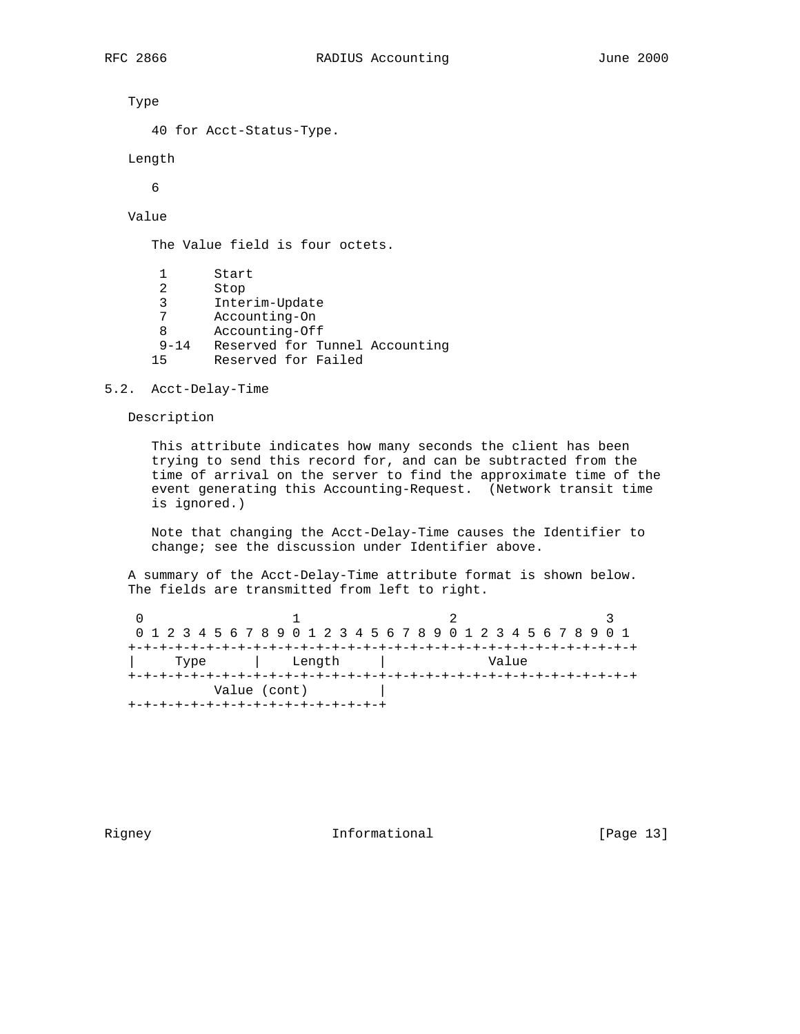Type

40 for Acct-Status-Type.

Length

6

# Value

The Value field is four octets.

|          | Start                          |
|----------|--------------------------------|
| 2        | Stop                           |
| ς        | Interim-Update                 |
|          | Accounting-On                  |
| 8        | Accounting-Off                 |
| $9 - 14$ | Reserved for Tunnel Accounting |
| 15       | Reserved for Failed            |

## 5.2. Acct-Delay-Time

## Description

 This attribute indicates how many seconds the client has been trying to send this record for, and can be subtracted from the time of arrival on the server to find the approximate time of the event generating this Accounting-Request. (Network transit time is ignored.)

 Note that changing the Acct-Delay-Time causes the Identifier to change; see the discussion under Identifier above.

 A summary of the Acct-Delay-Time attribute format is shown below. The fields are transmitted from left to right.

|      |                      |        |  |       | 0 1 2 3 4 5 6 7 8 9 0 1 2 3 4 5 6 7 8 9 0 1 2 3 4 5 6 7 8 9 0 1 |
|------|----------------------|--------|--|-------|-----------------------------------------------------------------|
|      |                      |        |  |       |                                                                 |
| Type |                      | Length |  | Value |                                                                 |
|      |                      |        |  |       |                                                                 |
|      | Value (cont)         |        |  |       |                                                                 |
|      | +-+-+-+-+-+-+-+-+-+- |        |  |       |                                                                 |

Rigney 13 Informational [Page 13]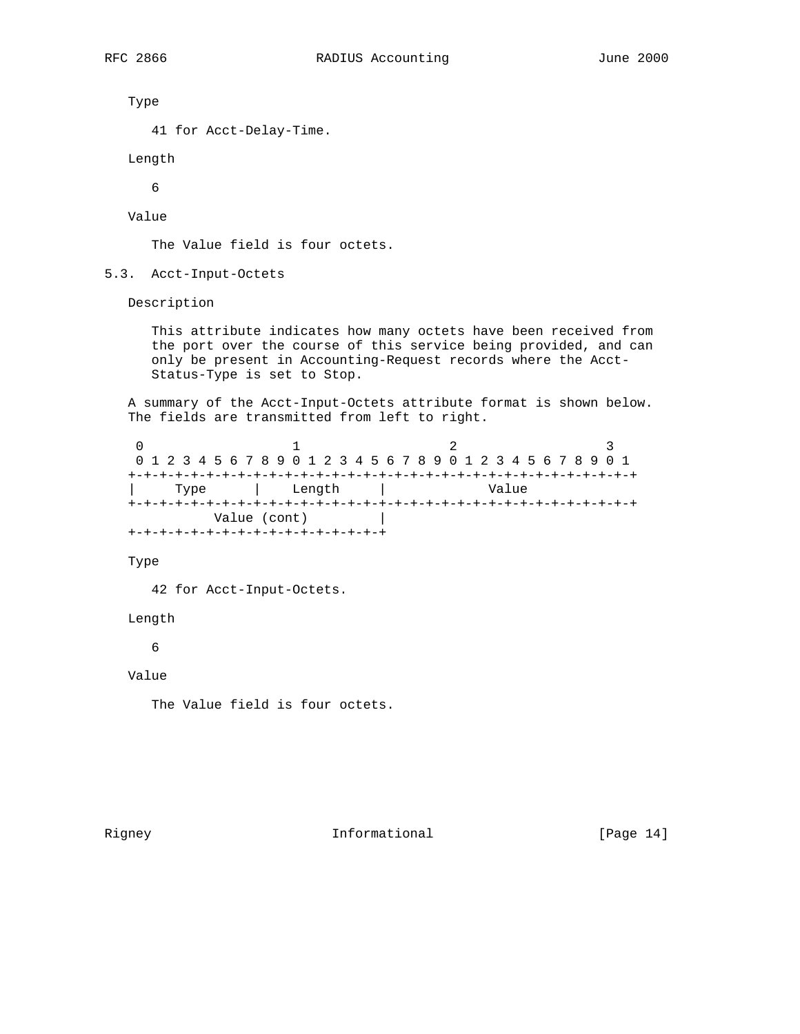Type

41 for Acct-Delay-Time.

Length

6

Value

The Value field is four octets.

5.3. Acct-Input-Octets

Description

 This attribute indicates how many octets have been received from the port over the course of this service being provided, and can only be present in Accounting-Request records where the Acct- Status-Type is set to Stop.

 A summary of the Acct-Input-Octets attribute format is shown below. The fields are transmitted from left to right.

| 0 1 2 3 4 5 6 7 8 9 0 1 2 3 4 5 6 7 8 9 0 1 2 3 4 5 6 7 8 9 0 1 |              |        |  |  |  |  |  |       |  |  |  |  |
|-----------------------------------------------------------------|--------------|--------|--|--|--|--|--|-------|--|--|--|--|
|                                                                 |              |        |  |  |  |  |  |       |  |  |  |  |
| Type                                                            |              | Length |  |  |  |  |  | Value |  |  |  |  |
|                                                                 |              |        |  |  |  |  |  |       |  |  |  |  |
|                                                                 | Value (cont) |        |  |  |  |  |  |       |  |  |  |  |
|                                                                 |              |        |  |  |  |  |  |       |  |  |  |  |

Type

42 for Acct-Input-Octets.

Length

6

Value

The Value field is four octets.

Rigney 141 Informational [Page 14]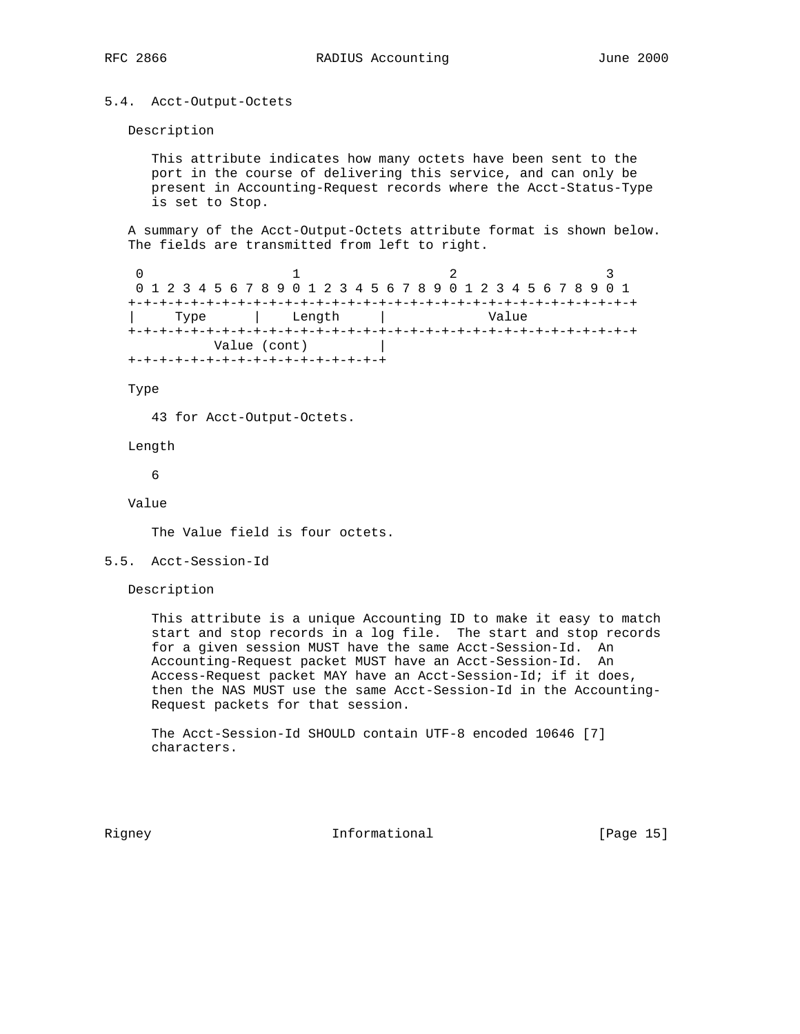## 5.4. Acct-Output-Octets

Description

 This attribute indicates how many octets have been sent to the port in the course of delivering this service, and can only be present in Accounting-Request records where the Acct-Status-Type is set to Stop.

 A summary of the Acct-Output-Octets attribute format is shown below. The fields are transmitted from left to right.

0  $1$  2 3 0 1 2 3 4 5 6 7 8 9 0 1 2 3 4 5 6 7 8 9 0 1 2 3 4 5 6 7 8 9 0 1 +-+-+-+-+-+-+-+-+-+-+-+-+-+-+-+-+-+-+-+-+-+-+-+-+-+-+-+-+-+-+-+-+ | Type | Length | Value +-+-+-+-+-+-+-+-+-+-+-+-+-+-+-+-+-+-+-+-+-+-+-+-+-+-+-+-+-+-+-+-+ Value (cont) | +-+-+-+-+-+-+-+-+-+-+-+-+-+-+-+-+

Type

43 for Acct-Output-Octets.

Length

6

Value

The Value field is four octets.

#### 5.5. Acct-Session-Id

Description

 This attribute is a unique Accounting ID to make it easy to match start and stop records in a log file. The start and stop records for a given session MUST have the same Acct-Session-Id. An Accounting-Request packet MUST have an Acct-Session-Id. An Access-Request packet MAY have an Acct-Session-Id; if it does, then the NAS MUST use the same Acct-Session-Id in the Accounting- Request packets for that session.

 The Acct-Session-Id SHOULD contain UTF-8 encoded 10646 [7] characters.

Rigney 1992 Theorem Informational Theorem (Page 15)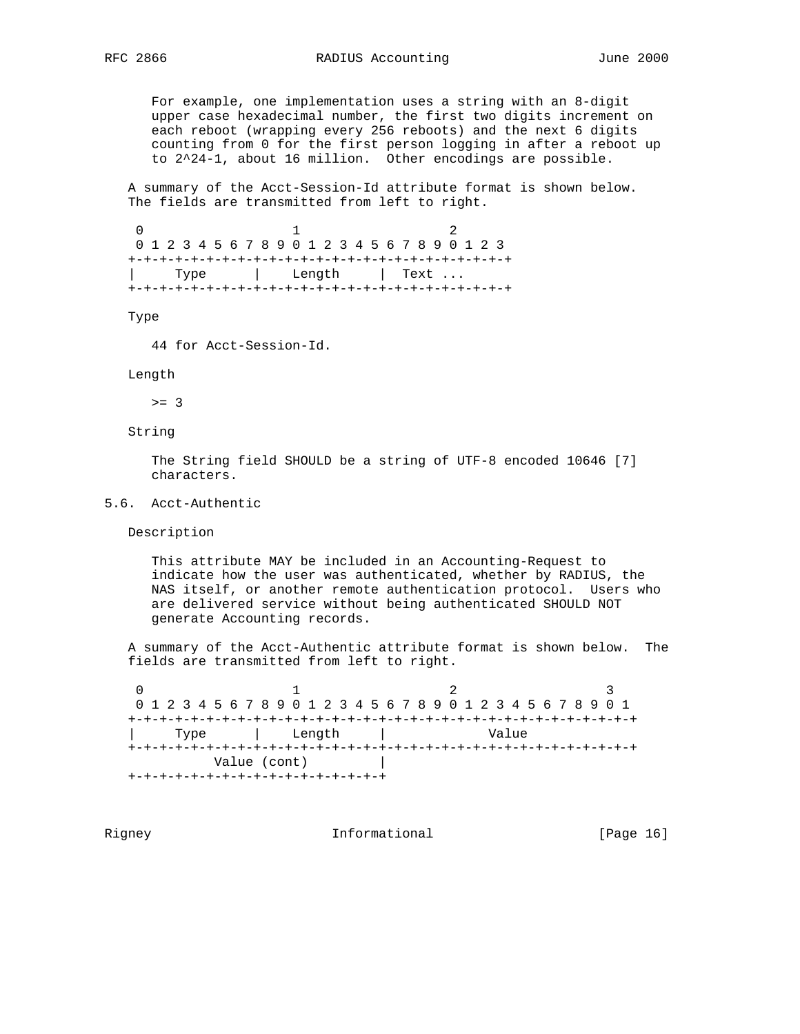For example, one implementation uses a string with an 8-digit upper case hexadecimal number, the first two digits increment on each reboot (wrapping every 256 reboots) and the next 6 digits counting from 0 for the first person logging in after a reboot up to 2^24-1, about 16 million. Other encodings are possible.

 A summary of the Acct-Session-Id attribute format is shown below. The fields are transmitted from left to right.

 $0$  1 2 0 1 2 3 4 5 6 7 8 9 0 1 2 3 4 5 6 7 8 9 0 1 2 3 +-+-+-+-+-+-+-+-+-+-+-+-+-+-+-+-+-+-+-+-+-+-+-+-+ Length | Text ... +-+-+-+-+-+-+-+-+-+-+-+-+-+-+-+-+-+-+-+-+-+-+-+-+

Type

44 for Acct-Session-Id.

#### Length

 $>= 3$ 

## String

 The String field SHOULD be a string of UTF-8 encoded 10646 [7] characters.

# 5.6. Acct-Authentic

Description

 This attribute MAY be included in an Accounting-Request to indicate how the user was authenticated, whether by RADIUS, the NAS itself, or another remote authentication protocol. Users who are delivered service without being authenticated SHOULD NOT generate Accounting records.

 A summary of the Acct-Authentic attribute format is shown below. The fields are transmitted from left to right.

0  $1$  2 3 0 1 2 3 4 5 6 7 8 9 0 1 2 3 4 5 6 7 8 9 0 1 2 3 4 5 6 7 8 9 0 1 +-+-+-+-+-+-+-+-+-+-+-+-+-+-+-+-+-+-+-+-+-+-+-+-+-+-+-+-+-+-+-+-+ | Type | Length | Value +-+-+-+-+-+-+-+-+-+-+-+-+-+-+-+-+-+-+-+-+-+-+-+-+-+-+-+-+-+-+-+-+ Value (cont) | +-+-+-+-+-+-+-+-+-+-+-+-+-+-+-+-+

Rigney 10 1nformational [Page 16]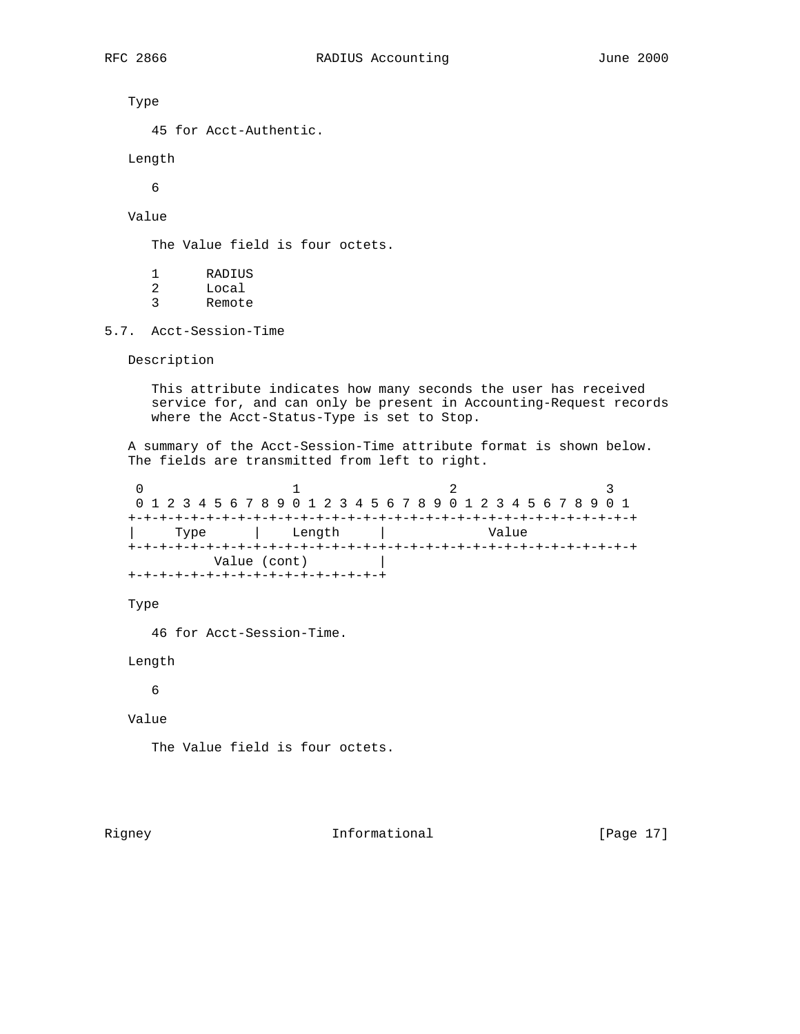Type 45 for Acct-Authentic. Length 6 Value The Value field is four octets. 1 RADIUS 2 Local 3 Remote 5.7. Acct-Session-Time Description This attribute indicates how many seconds the user has received service for, and can only be present in Accounting-Request records where the Acct-Status-Type is set to Stop. A summary of the Acct-Session-Time attribute format is shown below. The fields are transmitted from left to right. 0  $1$  2 3 0 1 2 3 4 5 6 7 8 9 0 1 2 3 4 5 6 7 8 9 0 1 2 3 4 5 6 7 8 9 0 1 +-+-+-+-+-+-+-+-+-+-+-+-+-+-+-+-+-+-+-+-+-+-+-+-+-+-+-+-+-+-+-+-+ | Type | Length | Value +-+-+-+-+-+-+-+-+-+-+-+-+-+-+-+-+-+-+-+-+-+-+-+-+-+-+-+-+-+-+-+-+ Value (cont) | +-+-+-+-+-+-+-+-+-+-+-+-+-+-+-+-+ Type 46 for Acct-Session-Time. Length 6 Value The Value field is four octets. Rigney 10 1nformational [Page 17]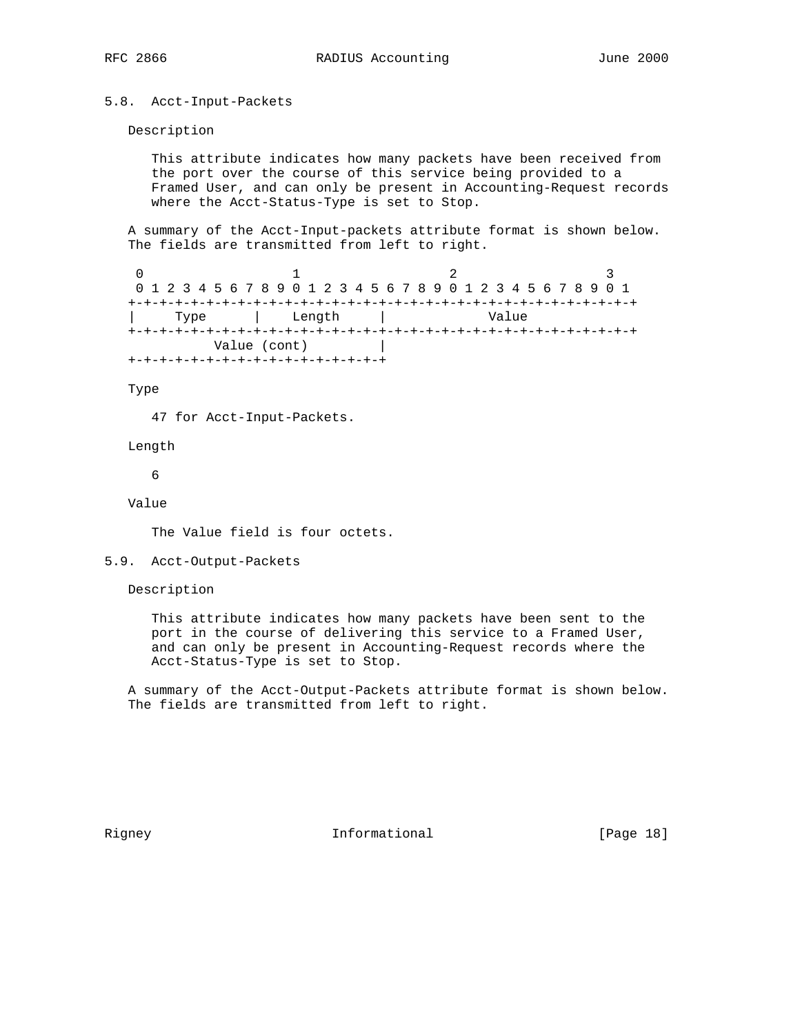# 5.8. Acct-Input-Packets

Description

 This attribute indicates how many packets have been received from the port over the course of this service being provided to a Framed User, and can only be present in Accounting-Request records where the Acct-Status-Type is set to Stop.

 A summary of the Acct-Input-packets attribute format is shown below. The fields are transmitted from left to right.

0  $1$  2 3 0 1 2 3 4 5 6 7 8 9 0 1 2 3 4 5 6 7 8 9 0 1 2 3 4 5 6 7 8 9 0 1 +-+-+-+-+-+-+-+-+-+-+-+-+-+-+-+-+-+-+-+-+-+-+-+-+-+-+-+-+-+-+-+-+ | Type | Length | Value +-+-+-+-+-+-+-+-+-+-+-+-+-+-+-+-+-+-+-+-+-+-+-+-+-+-+-+-+-+-+-+-+ Value (cont) | +-+-+-+-+-+-+-+-+-+-+-+-+-+-+-+-+

Type

47 for Acct-Input-Packets.

Length

6

Value

The Value field is four octets.

#### 5.9. Acct-Output-Packets

Description

 This attribute indicates how many packets have been sent to the port in the course of delivering this service to a Framed User, and can only be present in Accounting-Request records where the Acct-Status-Type is set to Stop.

 A summary of the Acct-Output-Packets attribute format is shown below. The fields are transmitted from left to right.

Rigney 1912 1nformational Theory Informational (Page 18)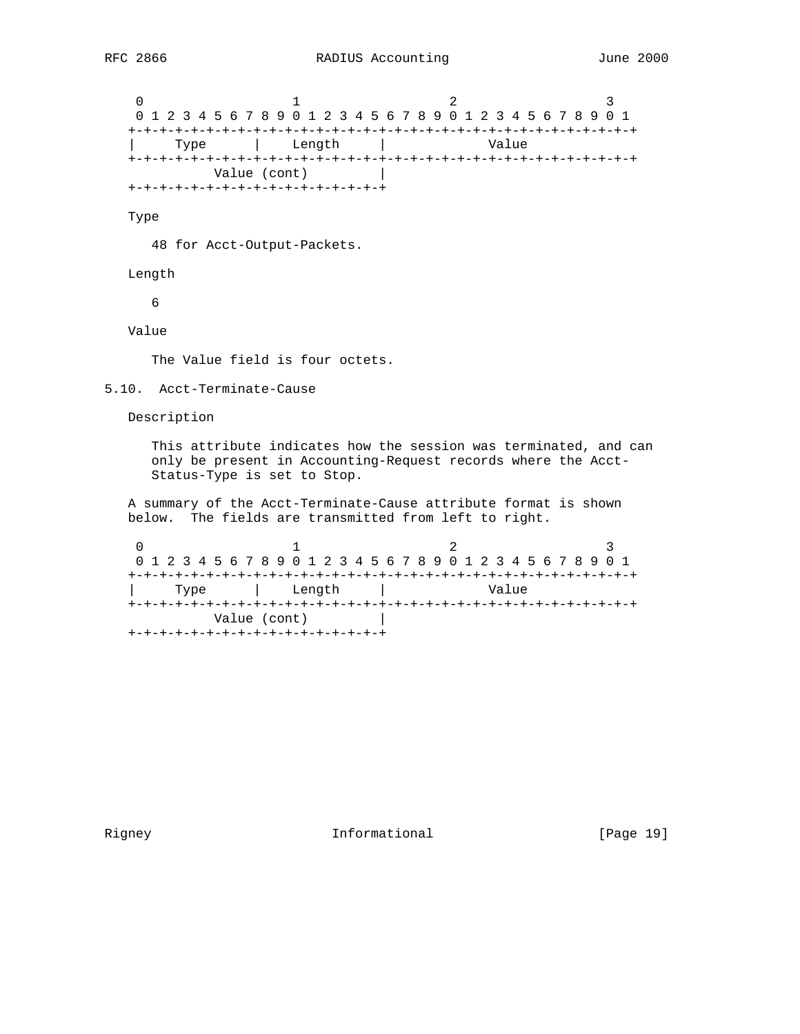0  $1$  2 3 0 1 2 3 4 5 6 7 8 9 0 1 2 3 4 5 6 7 8 9 0 1 2 3 4 5 6 7 8 9 0 1 +-+-+-+-+-+-+-+-+-+-+-+-+-+-+-+-+-+-+-+-+-+-+-+-+-+-+-+-+-+-+-+-+ | Type | Length | Value +-+-+-+-+-+-+-+-+-+-+-+-+-+-+-+-+-+-+-+-+-+-+-+-+-+-+-+-+-+-+-+-+ Value (cont) | +-+-+-+-+-+-+-+-+-+-+-+-+-+-+-+-+

Type

48 for Acct-Output-Packets.

Length

6

Value

The Value field is four octets.

5.10. Acct-Terminate-Cause

Description

 This attribute indicates how the session was terminated, and can only be present in Accounting-Request records where the Acct- Status-Type is set to Stop.

 A summary of the Acct-Terminate-Cause attribute format is shown below. The fields are transmitted from left to right.

0  $1$  2 3 0 1 2 3 4 5 6 7 8 9 0 1 2 3 4 5 6 7 8 9 0 1 2 3 4 5 6 7 8 9 0 1 +-+-+-+-+-+-+-+-+-+-+-+-+-+-+-+-+-+-+-+-+-+-+-+-+-+-+-+-+-+-+-+-+ | Type | Length | Value +-+-+-+-+-+-+-+-+-+-+-+-+-+-+-+-+-+-+-+-+-+-+-+-+-+-+-+-+-+-+-+-+ Value (cont) | +-+-+-+-+-+-+-+-+-+-+-+-+-+-+-+-+

Rigney 19 Informational [Page 19]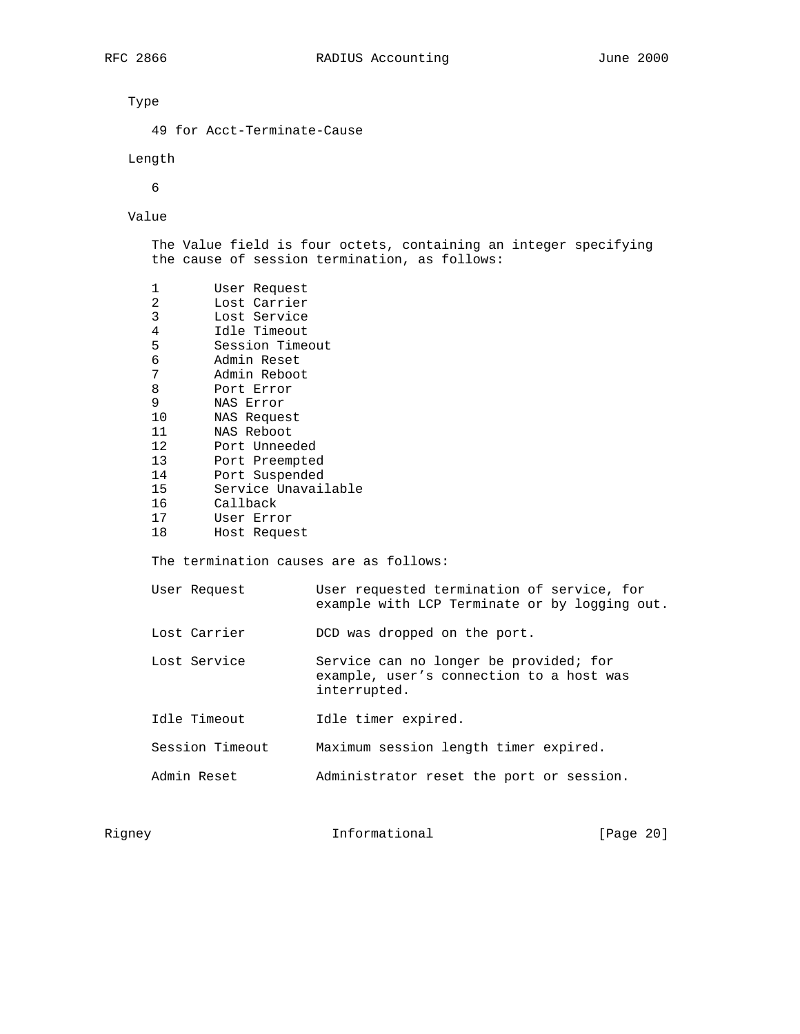Type 49 for Acct-Terminate-Cause Length 6 Value The Value field is four octets, containing an integer specifying the cause of session termination, as follows: 1 User Request 2 Lost Carrier 3 Lost Service 4 Idle Timeout 5 Session Timeout 6 Admin Reset 7 Admin Reboot 8 Port Error 9 NAS Error 10 NAS Request 11 NAS Reboot 12 Port Unneeded 13 Port Preempted 14 Port Suspended 15 Service Unavailable 16 Callback<br>17 User Erro 17 User Error<br>18 Host Reque Host Request The termination causes are as follows: User Request User requested termination of service, for example with LCP Terminate or by logging out. Lost Carrier **DCD** was dropped on the port. Lost Service Service can no longer be provided; for example, user's connection to a host was interrupted. Idle Timeout 1dle timer expired. Session Timeout Maximum session length timer expired. Admin Reset **Administrator** reset the port or session.

Rigney 10 Informational [Page 20]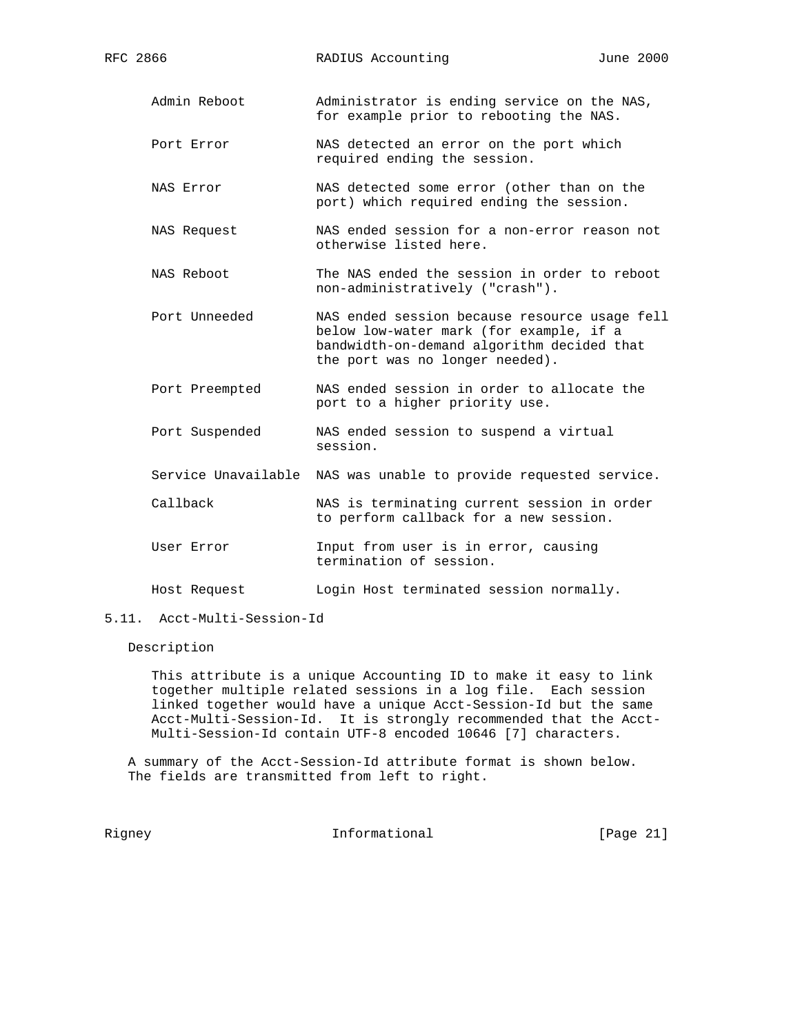- Admin Reboot Administrator is ending service on the NAS, for example prior to rebooting the NAS.
- Port Error NAS detected an error on the port which required ending the session.
- NAS Error MAS detected some error (other than on the port) which required ending the session.
- NAS Request NAS ended session for a non-error reason not otherwise listed here.
- NAS Reboot The NAS ended the session in order to reboot non-administratively ("crash").
- Port Unneeded NAS ended session because resource usage fell below low-water mark (for example, if a bandwidth-on-demand algorithm decided that the port was no longer needed).
- Port Preempted NAS ended session in order to allocate the port to a higher priority use.
- Port Suspended NAS ended session to suspend a virtual session.
- Service Unavailable NAS was unable to provide requested service.
- Callback NAS is terminating current session in order to perform callback for a new session.
- User Error **Input from user is in error, causing** termination of session.
- Host Request Login Host terminated session normally.
- 5.11. Acct-Multi-Session-Id

#### Description

 This attribute is a unique Accounting ID to make it easy to link together multiple related sessions in a log file. Each session linked together would have a unique Acct-Session-Id but the same Acct-Multi-Session-Id. It is strongly recommended that the Acct- Multi-Session-Id contain UTF-8 encoded 10646 [7] characters.

 A summary of the Acct-Session-Id attribute format is shown below. The fields are transmitted from left to right.

Rigney **Informational** [Page 21]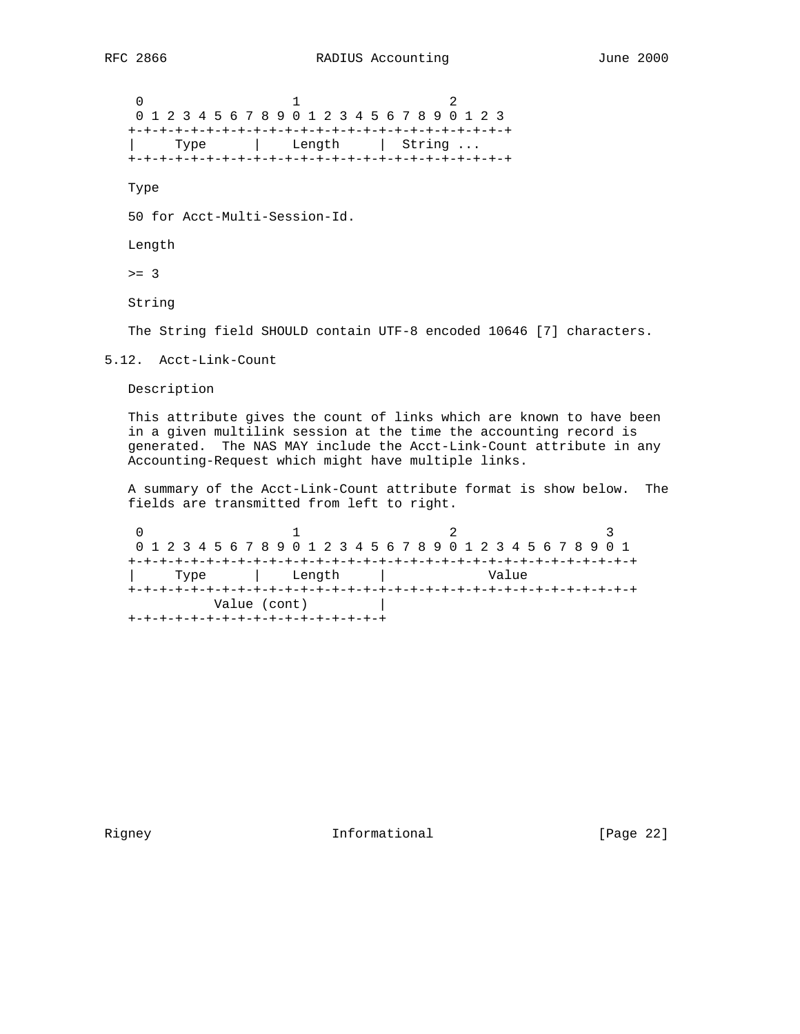$0$  1 2 0 1 2 3 4 5 6 7 8 9 0 1 2 3 4 5 6 7 8 9 0 1 2 3 +-+-+-+-+-+-+-+-+-+-+-+-+-+-+-+-+-+-+-+-+-+-+-+-+ | Type | Length | String ... +-+-+-+-+-+-+-+-+-+-+-+-+-+-+-+-+-+-+-+-+-+-+-+-+

Type

50 for Acct-Multi-Session-Id.

Length

 $>= 3$ 

String

The String field SHOULD contain UTF-8 encoded 10646 [7] characters.

5.12. Acct-Link-Count

Description

 This attribute gives the count of links which are known to have been in a given multilink session at the time the accounting record is generated. The NAS MAY include the Acct-Link-Count attribute in any Accounting-Request which might have multiple links.

 A summary of the Acct-Link-Count attribute format is show below. The fields are transmitted from left to right.

0  $1$  2 3 0 1 2 3 4 5 6 7 8 9 0 1 2 3 4 5 6 7 8 9 0 1 2 3 4 5 6 7 8 9 0 1 +-+-+-+-+-+-+-+-+-+-+-+-+-+-+-+-+-+-+-+-+-+-+-+-+-+-+-+-+-+-+-+-+ | Type | Length | Value +-+-+-+-+-+-+-+-+-+-+-+-+-+-+-+-+-+-+-+-+-+-+-+-+-+-+-+-+-+-+-+-+ Value (cont) | +-+-+-+-+-+-+-+-+-+-+-+-+-+-+-+-+

Rigney 10 Informational [Page 22]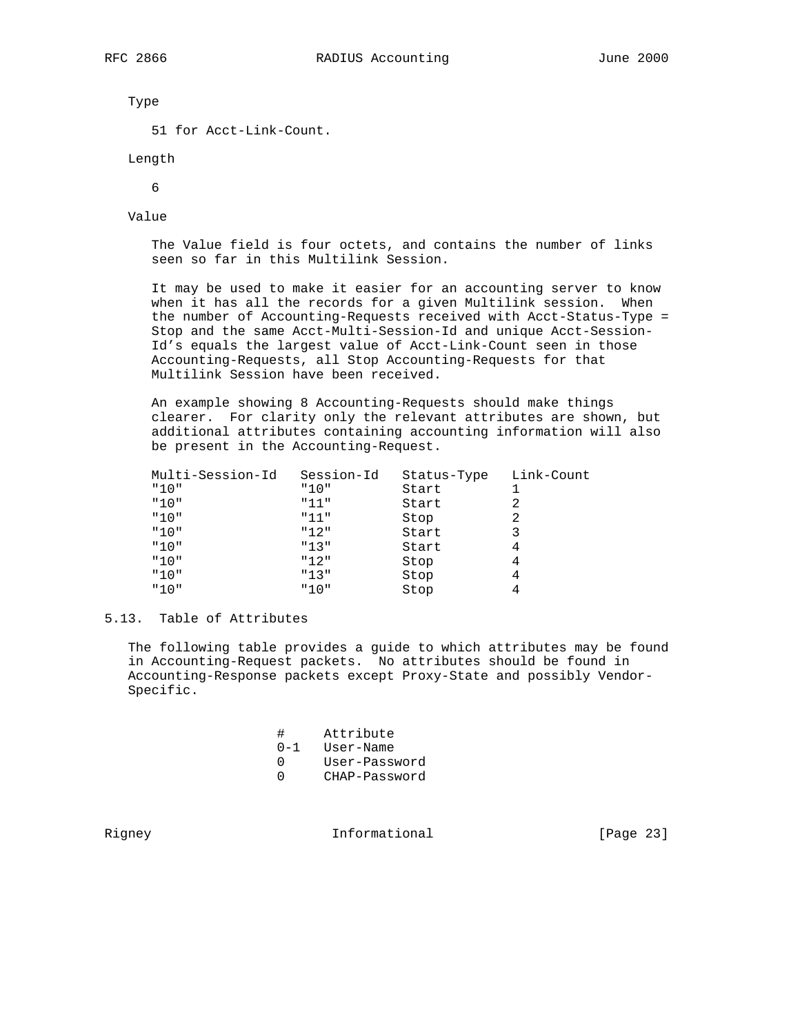Type

51 for Acct-Link-Count.

Length

6

Value

 The Value field is four octets, and contains the number of links seen so far in this Multilink Session.

 It may be used to make it easier for an accounting server to know when it has all the records for a given Multilink session. When the number of Accounting-Requests received with Acct-Status-Type = Stop and the same Acct-Multi-Session-Id and unique Acct-Session- Id's equals the largest value of Acct-Link-Count seen in those Accounting-Requests, all Stop Accounting-Requests for that Multilink Session have been received.

 An example showing 8 Accounting-Requests should make things clearer. For clarity only the relevant attributes are shown, but additional attributes containing accounting information will also be present in the Accounting-Request.

| "10"<br>"10"<br>Start      |  |
|----------------------------|--|
|                            |  |
| "10"<br>"11"<br>Start      |  |
| "10"<br>"11"<br>Stop       |  |
| "10"<br>"12"<br>3<br>Start |  |
| "10"<br>"13"<br>Start<br>4 |  |
| "10"<br>"12"<br>Stop<br>4  |  |
| "10"<br>"13"<br>Stop<br>4  |  |
| "10"<br>"10"<br>Stop       |  |

# 5.13. Table of Attributes

 The following table provides a guide to which attributes may be found in Accounting-Request packets. No attributes should be found in Accounting-Response packets except Proxy-State and possibly Vendor- Specific.

| Attribute       |
|-----------------|
| $0-1$ User-Name |
| User-Password   |
| CHAP-Password   |
|                 |

Rigney 10 Informational [Page 23]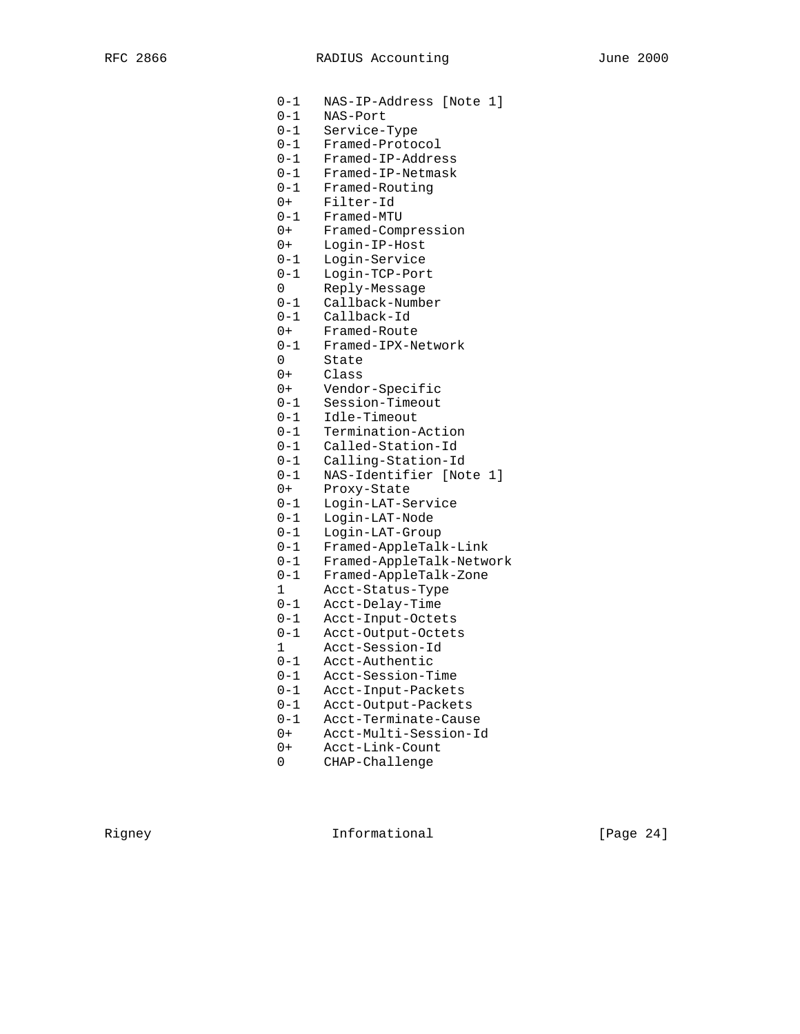- 0-1 NAS-IP-Address [Note 1]
- 0-1 NAS-Port
- 0-1 Service-Type
- 0-1 Framed-Protocol
	- 0-1 Framed-IP-Address
	- 0-1 Framed-IP-Netmask
	- 0-1 Framed-Routing
	- 0+ Filter-Id
	- 0-1 Framed-MTU
- 0+ Framed-Compression
- 0+ Login-IP-Host
	- 0-1 Login-Service
	- 0-1 Login-TCP-Port
- 0 Reply-Message
- 0-1 Callback-Number
- 0-1 Callback-Id
	- 0+ Framed-Route
	- 0-1 Framed-IPX-Network
	- 0 State
	- 0+ Class
	- 0+ Vendor-Specific
	- 0-1 Session-Timeout
	- 0-1 Idle-Timeout
	-
	- 0-1 Termination-Action
- 0-1 Called-Station-Id
- 0-1 Calling-Station-Id
- 0-1 NAS-Identifier [Note 1]
- 0+ Proxy-State
- 0-1 Login-LAT-Service
	- 0-1 Login-LAT-Node
	- 0-1 Login-LAT-Group
	- 0-1 Framed-AppleTalk-Link
	- 0-1 Framed-AppleTalk-Network
	- 0-1 Framed-AppleTalk-Zone
	- 1 Acct-Status-Type
	- 0-1 Acct-Delay-Time
	- 0-1 Acct-Input-Octets
- 0-1 Acct-Output-Octets
- 1 Acct-Session-Id
	- 0-1 Acct-Authentic
	- 0-1 Acct-Session-Time
	- 0-1 Acct-Input-Packets
	- 0-1 Acct-Output-Packets
	- 0-1 Acct-Terminate-Cause
	- 0+ Acct-Multi-Session-Id
	- 0+ Acct-Link-Count
	- 0 CHAP-Challenge

Rigney **Informational Informational** [Page 24]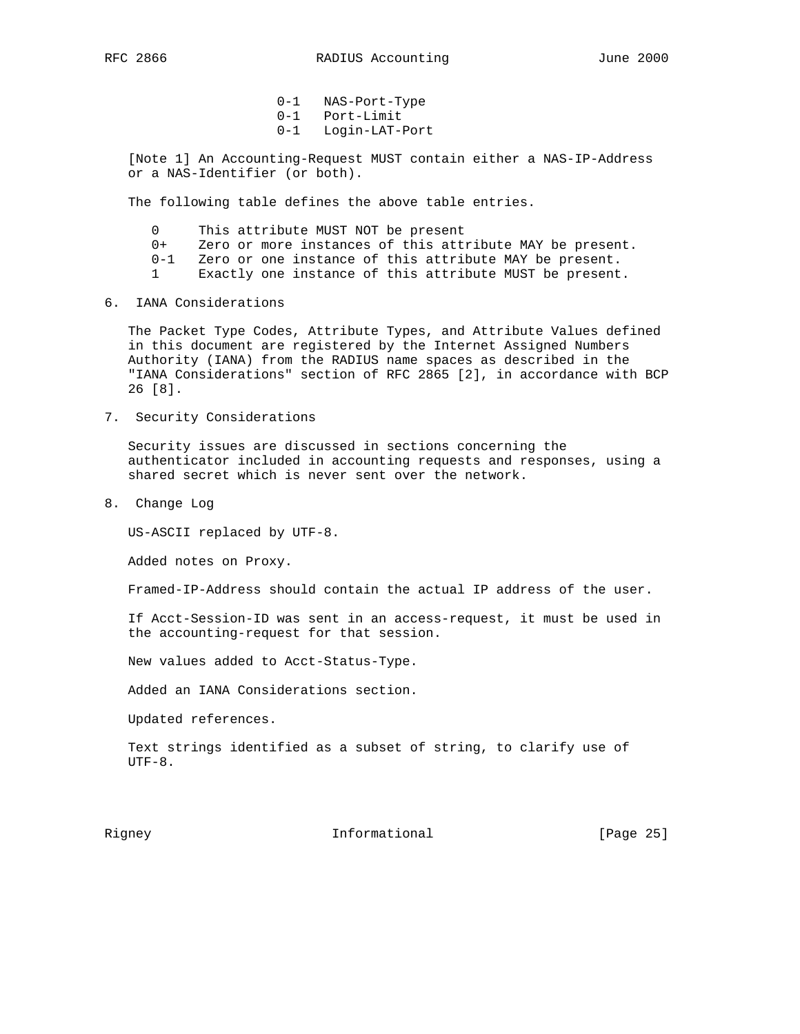0-1 NAS-Port-Type 0-1 Port-Limit 0-1 Login-LAT-Port

 [Note 1] An Accounting-Request MUST contain either a NAS-IP-Address or a NAS-Identifier (or both).

The following table defines the above table entries.

- 0 This attribute MUST NOT be present
- 0+ Zero or more instances of this attribute MAY be present.
- 0-1 Zero or one instance of this attribute MAY be present.
- 1 Exactly one instance of this attribute MUST be present.
- 6. IANA Considerations

 The Packet Type Codes, Attribute Types, and Attribute Values defined in this document are registered by the Internet Assigned Numbers Authority (IANA) from the RADIUS name spaces as described in the "IANA Considerations" section of RFC 2865 [2], in accordance with BCP 26 [8].

7. Security Considerations

 Security issues are discussed in sections concerning the authenticator included in accounting requests and responses, using a shared secret which is never sent over the network.

8. Change Log

US-ASCII replaced by UTF-8.

Added notes on Proxy.

Framed-IP-Address should contain the actual IP address of the user.

 If Acct-Session-ID was sent in an access-request, it must be used in the accounting-request for that session.

New values added to Acct-Status-Type.

Added an IANA Considerations section.

Updated references.

 Text strings identified as a subset of string, to clarify use of UTF-8.

Rigney **Informational** [Page 25]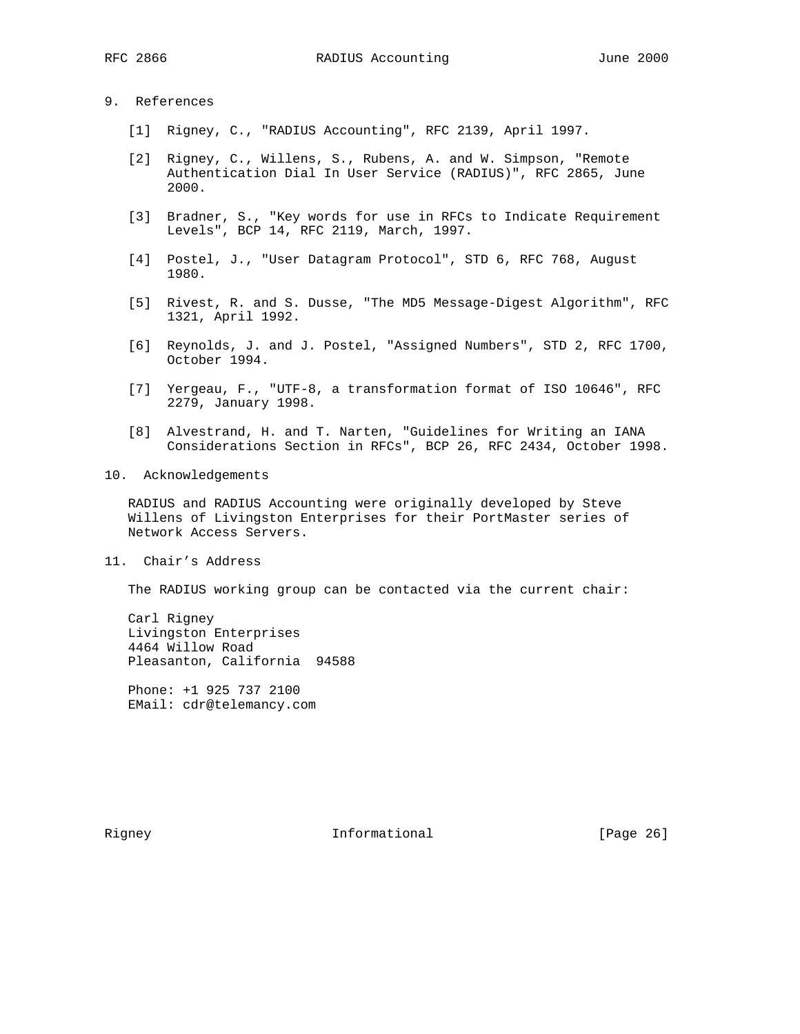# 9. References

- [1] Rigney, C., "RADIUS Accounting", RFC 2139, April 1997.
- [2] Rigney, C., Willens, S., Rubens, A. and W. Simpson, "Remote Authentication Dial In User Service (RADIUS)", RFC 2865, June 2000.
- [3] Bradner, S., "Key words for use in RFCs to Indicate Requirement Levels", BCP 14, RFC 2119, March, 1997.
- [4] Postel, J., "User Datagram Protocol", STD 6, RFC 768, August 1980.
- [5] Rivest, R. and S. Dusse, "The MD5 Message-Digest Algorithm", RFC 1321, April 1992.
- [6] Reynolds, J. and J. Postel, "Assigned Numbers", STD 2, RFC 1700, October 1994.
- [7] Yergeau, F., "UTF-8, a transformation format of ISO 10646", RFC 2279, January 1998.
- [8] Alvestrand, H. and T. Narten, "Guidelines for Writing an IANA Considerations Section in RFCs", BCP 26, RFC 2434, October 1998.

10. Acknowledgements

 RADIUS and RADIUS Accounting were originally developed by Steve Willens of Livingston Enterprises for their PortMaster series of Network Access Servers.

11. Chair's Address

The RADIUS working group can be contacted via the current chair:

 Carl Rigney Livingston Enterprises 4464 Willow Road Pleasanton, California 94588

 Phone: +1 925 737 2100 EMail: cdr@telemancy.com

Rigney **Informational** [Page 26]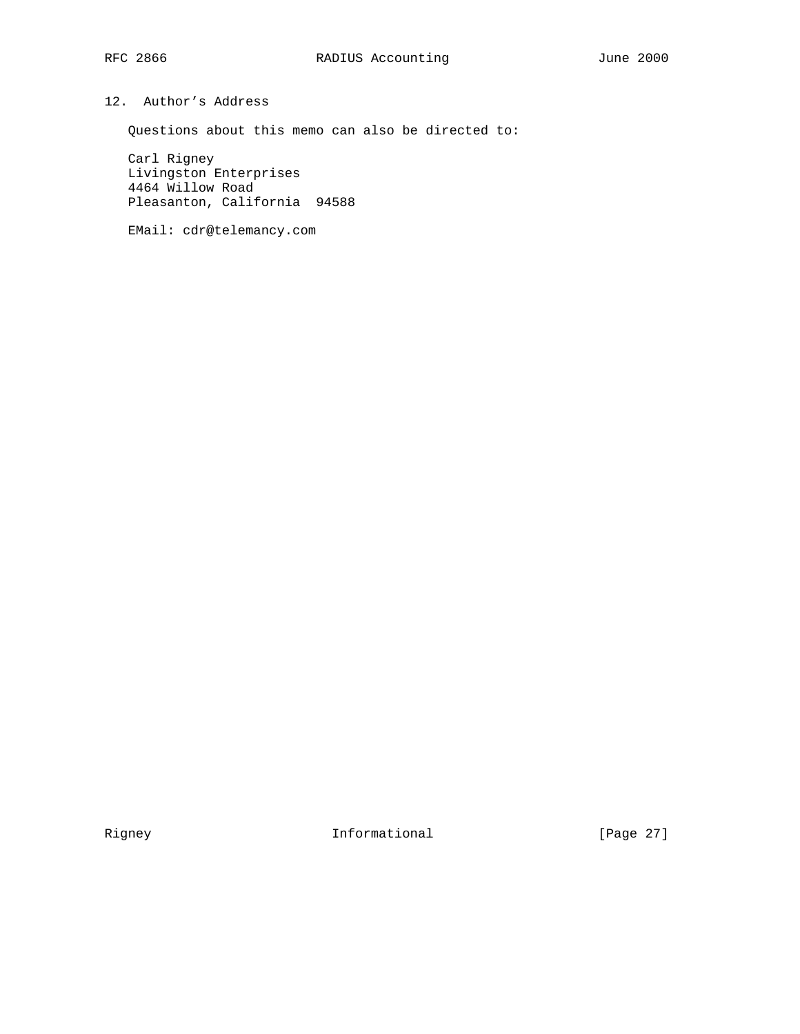# 12. Author's Address

Questions about this memo can also be directed to:

 Carl Rigney Livingston Enterprises 4464 Willow Road Pleasanton, California 94588

EMail: cdr@telemancy.com

Rigney 10 1nformational [Page 27]